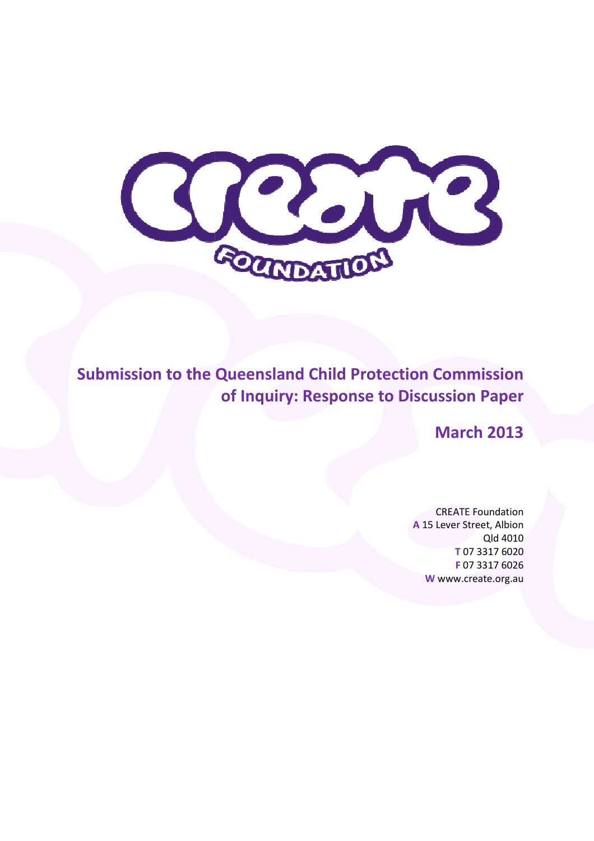

Submission to the Queensland Child Protection Commission of Inquiry: Response to Discussion Paper

March 2013

A 15 Lever Street, Albion W www.create.org.au CREATE Foundation Qld 4010 T 07 3317 6020 F 07 3317 6026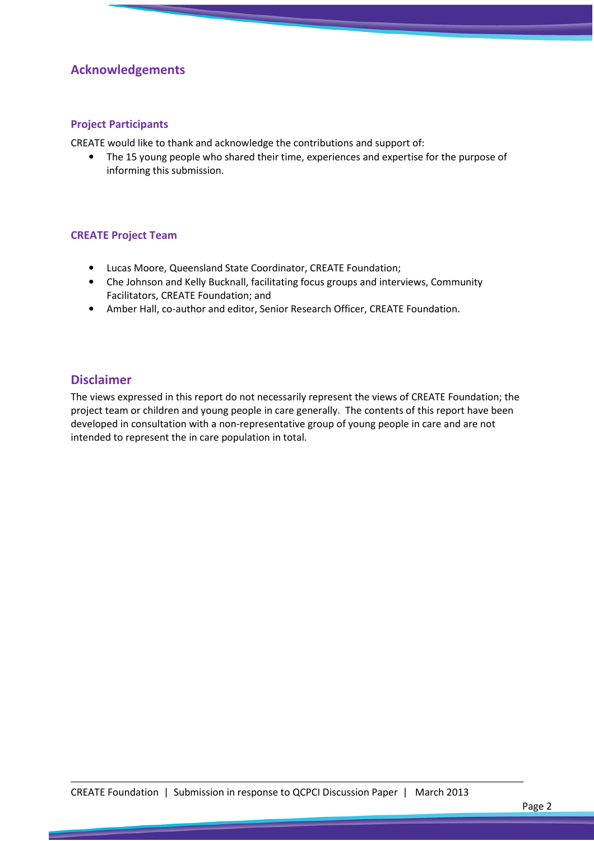### Acknowledgements

#### Project Participants

CREATE would like to thank and acknowledge the contributions and support of:

• The 15 young people who shared their time, experiences and expertise for the purpose of informing this submission.

#### CREATE Project Team

- Lucas Moore, Queensland State Coordinator, CREATE Foundation;
- Che Johnson and Kelly Bucknall, facilitating focus groups and interviews, Community Facilitators, CREATE Foundation; and
- Amber Hall, co-author and editor, Senior Research Officer, CREATE Foundation.

#### Disclaimer

The views expressed in this report do not necessarily represent the views of CREATE Foundation; the project team or children and young people in care generally. The contents of this report have been developed in consultation with a non-representative group of young people in care and are not intended to represent the in care population in total.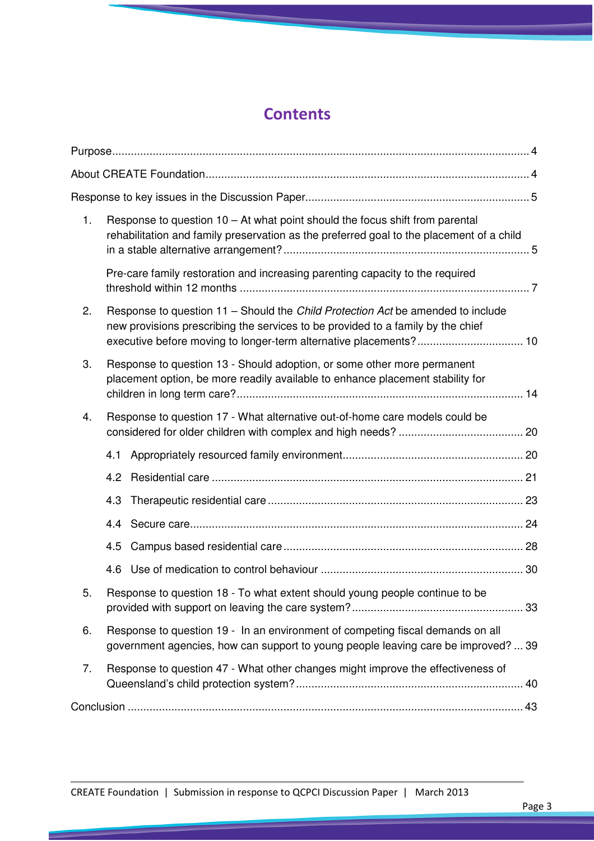# **Contents**

| 1. | Response to question $10 - At$ what point should the focus shift from parental<br>rehabilitation and family preservation as the preferred goal to the placement of a child                                                              |  |
|----|-----------------------------------------------------------------------------------------------------------------------------------------------------------------------------------------------------------------------------------------|--|
|    | Pre-care family restoration and increasing parenting capacity to the required                                                                                                                                                           |  |
| 2. | Response to question 11 - Should the Child Protection Act be amended to include<br>new provisions prescribing the services to be provided to a family by the chief<br>executive before moving to longer-term alternative placements? 10 |  |
| 3. | Response to question 13 - Should adoption, or some other more permanent<br>placement option, be more readily available to enhance placement stability for                                                                               |  |
| 4. | Response to question 17 - What alternative out-of-home care models could be                                                                                                                                                             |  |
|    | 4.1                                                                                                                                                                                                                                     |  |
|    | 4.2                                                                                                                                                                                                                                     |  |
|    | 4.3                                                                                                                                                                                                                                     |  |
|    | 4.4                                                                                                                                                                                                                                     |  |
|    | 4.5                                                                                                                                                                                                                                     |  |
|    | 4.6                                                                                                                                                                                                                                     |  |
| 5. | Response to question 18 - To what extent should young people continue to be                                                                                                                                                             |  |
| 6. | Response to question 19 - In an environment of competing fiscal demands on all<br>government agencies, how can support to young people leaving care be improved?  39                                                                    |  |
| 7. | Response to question 47 - What other changes might improve the effectiveness of                                                                                                                                                         |  |
|    |                                                                                                                                                                                                                                         |  |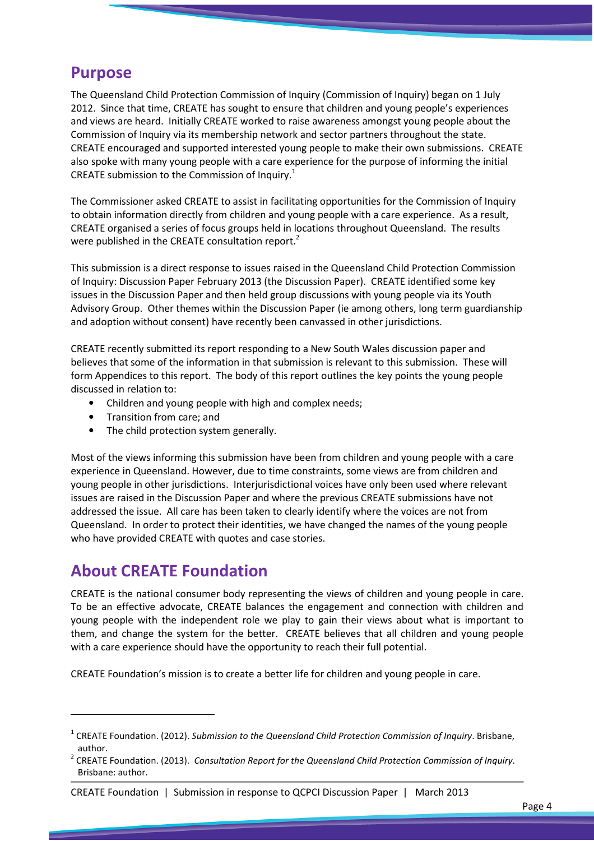## Purpose

The Queensland Child Protection Commission of Inquiry (Commission of Inquiry) began on 1 July 2012. Since that time, CREATE has sought to ensure that children and young people's experiences and views are heard. Initially CREATE worked to raise awareness amongst young people about the Commission of Inquiry via its membership network and sector partners throughout the state. CREATE encouraged and supported interested young people to make their own submissions. CREATE also spoke with many young people with a care experience for the purpose of informing the initial CREATE submission to the Commission of Inquiry.<sup>1</sup>

The Commissioner asked CREATE to assist in facilitating opportunities for the Commission of Inquiry to obtain information directly from children and young people with a care experience. As a result, CREATE organised a series of focus groups held in locations throughout Queensland. The results were published in the CREATE consultation report.<sup>2</sup>

This submission is a direct response to issues raised in the Queensland Child Protection Commission of Inquiry: Discussion Paper February 2013 (the Discussion Paper). CREATE identified some key issues in the Discussion Paper and then held group discussions with young people via its Youth Advisory Group. Other themes within the Discussion Paper (ie among others, long term guardianship and adoption without consent) have recently been canvassed in other jurisdictions.

CREATE recently submitted its report responding to a New South Wales discussion paper and believes that some of the information in that submission is relevant to this submission. These will form Appendices to this report. The body of this report outlines the key points the young people discussed in relation to:

- Children and young people with high and complex needs;
- Transition from care; and
- The child protection system generally.

Most of the views informing this submission have been from children and young people with a care experience in Queensland. However, due to time constraints, some views are from children and young people in other jurisdictions. Interjurisdictional voices have only been used where relevant issues are raised in the Discussion Paper and where the previous CREATE submissions have not addressed the issue. All care has been taken to clearly identify where the voices are not from Queensland. In order to protect their identities, we have changed the names of the young people who have provided CREATE with quotes and case stories.

## About CREATE Foundation

l

CREATE is the national consumer body representing the views of children and young people in care. To be an effective advocate, CREATE balances the engagement and connection with children and young people with the independent role we play to gain their views about what is important to them, and change the system for the better. CREATE believes that all children and young people with a care experience should have the opportunity to reach their full potential.

CREATE Foundation's mission is to create a better life for children and young people in care.

<sup>&</sup>lt;sup>1</sup> CREATE Foundation. (2012). Submission to the Queensland Child Protection Commission of Inquiry. Brisbane, author.

<sup>&</sup>lt;sup>2</sup> CREATE Foundation. (2013). Consultation Report for the Queensland Child Protection Commission of Inquiry. Brisbane: author.

CREATE Foundation | Submission in response to QCPCI Discussion Paper | March 2013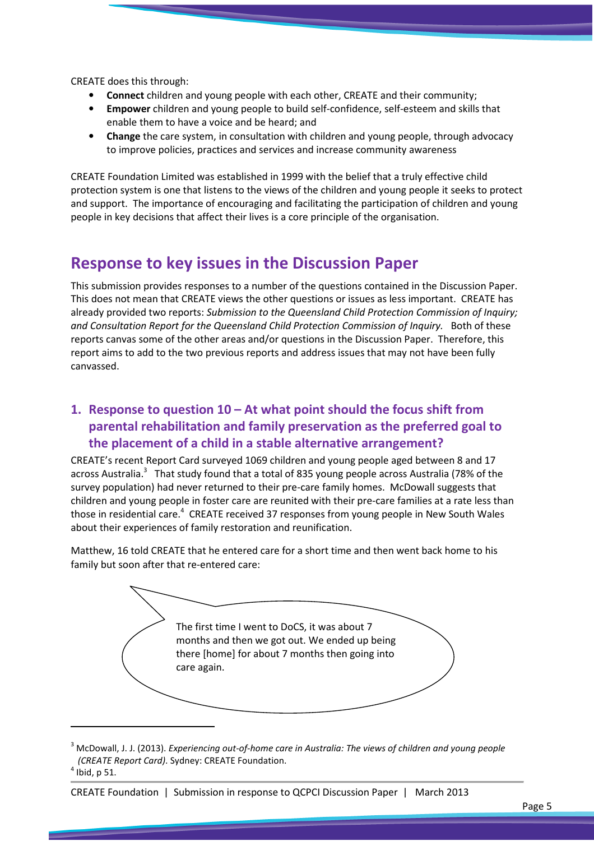CREATE does this through:

- Connect children and young people with each other, CREATE and their community;
- Empower children and young people to build self-confidence, self-esteem and skills that enable them to have a voice and be heard; and
- Change the care system, in consultation with children and young people, through advocacy to improve policies, practices and services and increase community awareness

CREATE Foundation Limited was established in 1999 with the belief that a truly effective child protection system is one that listens to the views of the children and young people it seeks to protect and support. The importance of encouraging and facilitating the participation of children and young people in key decisions that affect their lives is a core principle of the organisation.

## Response to key issues in the Discussion Paper

This submission provides responses to a number of the questions contained in the Discussion Paper. This does not mean that CREATE views the other questions or issues as less important. CREATE has already provided two reports: Submission to the Queensland Child Protection Commission of Inquiry; and Consultation Report for the Queensland Child Protection Commission of Inquiry. Both of these reports canvas some of the other areas and/or questions in the Discussion Paper. Therefore, this report aims to add to the two previous reports and address issues that may not have been fully canvassed.

### 1. Response to question 10 – At what point should the focus shift from parental rehabilitation and family preservation as the preferred goal to the placement of a child in a stable alternative arrangement?

CREATE's recent Report Card surveyed 1069 children and young people aged between 8 and 17 across Australia.<sup>3</sup> That study found that a total of 835 young people across Australia (78% of the survey population) had never returned to their pre-care family homes. McDowall suggests that children and young people in foster care are reunited with their pre-care families at a rate less than those in residential care.<sup>4</sup> CREATE received 37 responses from young people in New South Wales about their experiences of family restoration and reunification.

Matthew, 16 told CREATE that he entered care for a short time and then went back home to his family but soon after that re-entered care:



 $^3$  McDowall, J. J. (2013). Experiencing out-of-home care in Australia: The views of children and young people (CREATE Report Card). Sydney: CREATE Foundation.

 $\overline{\phantom{0}}$ 

 $<sup>4</sup>$  Ibid, p 51.</sup>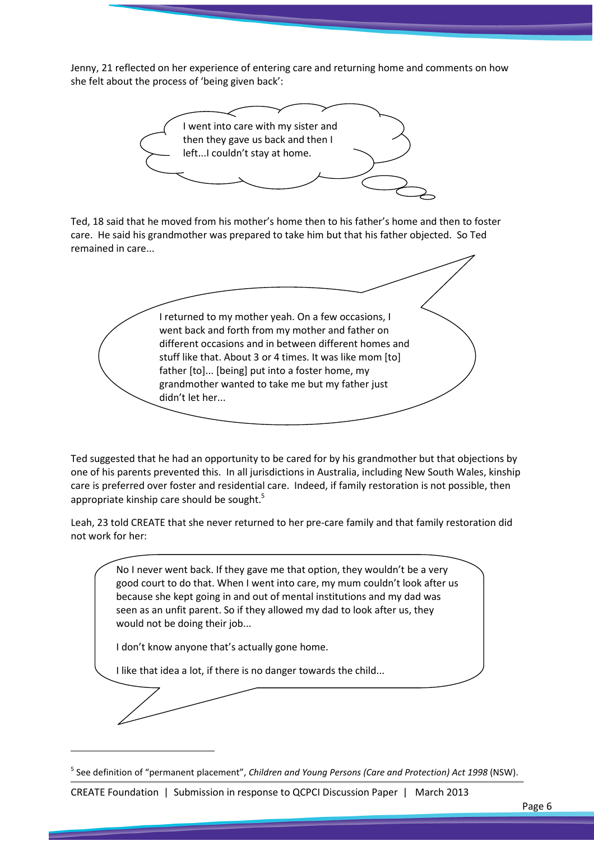Jenny, 21 reflected on her experience of entering care and returning home and comments on how she felt about the process of 'being given back':



Ted, 18 said that he moved from his mother's home then to his father's home and then to foster care. He said his grandmother was prepared to take him but that his father objected. So Ted remained in care...

I returned to my mother yeah. On a few occasions, I went back and forth from my mother and father on different occasions and in between different homes and stuff like that. About 3 or 4 times. It was like mom [to] father [to]... [being] put into a foster home, my grandmother wanted to take me but my father just didn't let her...

Ted suggested that he had an opportunity to be cared for by his grandmother but that objections by one of his parents prevented this. In all jurisdictions in Australia, including New South Wales, kinship care is preferred over foster and residential care. Indeed, if family restoration is not possible, then appropriate kinship care should be sought.<sup>5</sup>

Leah, 23 told CREATE that she never returned to her pre-care family and that family restoration did not work for her:

No I never went back. If they gave me that option, they wouldn't be a very good court to do that. When I went into care, my mum couldn't look after us because she kept going in and out of mental institutions and my dad was seen as an unfit parent. So if they allowed my dad to look after us, they would not be doing their job...

I don't know anyone that's actually gone home.

I like that idea a lot, if there is no danger towards the child...

 $\overline{\phantom{0}}$ 

CREATE Foundation | Submission in response to QCPCI Discussion Paper | March 2013

<sup>&</sup>lt;sup>5</sup> See definition of "permanent placement", Children and Young Persons (Care and Protection) Act 1998 (NSW).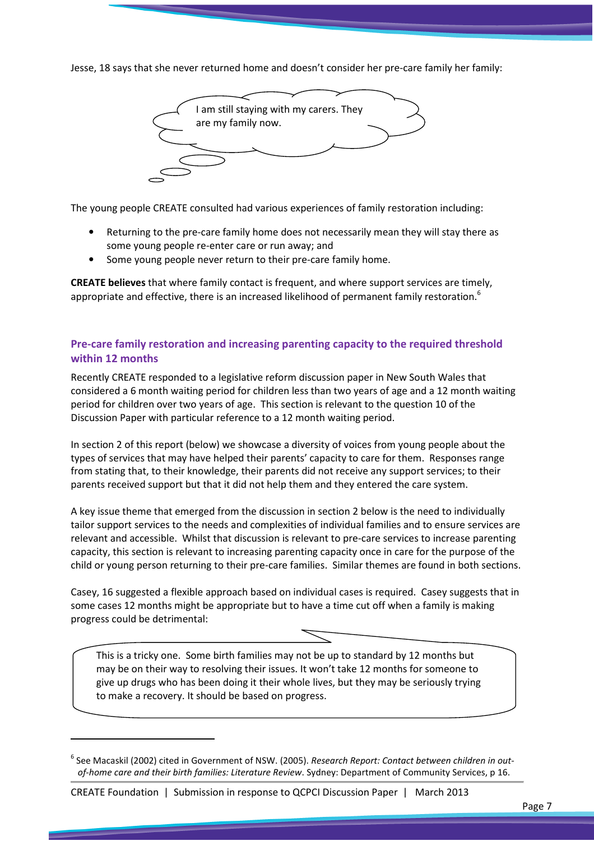Jesse, 18 says that she never returned home and doesn't consider her pre-care family her family:



The young people CREATE consulted had various experiences of family restoration including:

- Returning to the pre-care family home does not necessarily mean they will stay there as some young people re-enter care or run away; and
- Some young people never return to their pre-care family home.

CREATE believes that where family contact is frequent, and where support services are timely, appropriate and effective, there is an increased likelihood of permanent family restoration.<sup>6</sup>

#### Pre-care family restoration and increasing parenting capacity to the required threshold within 12 months

Recently CREATE responded to a legislative reform discussion paper in New South Wales that considered a 6 month waiting period for children less than two years of age and a 12 month waiting period for children over two years of age. This section is relevant to the question 10 of the Discussion Paper with particular reference to a 12 month waiting period.

In section 2 of this report (below) we showcase a diversity of voices from young people about the types of services that may have helped their parents' capacity to care for them. Responses range from stating that, to their knowledge, their parents did not receive any support services; to their parents received support but that it did not help them and they entered the care system.

A key issue theme that emerged from the discussion in section 2 below is the need to individually tailor support services to the needs and complexities of individual families and to ensure services are relevant and accessible. Whilst that discussion is relevant to pre-care services to increase parenting capacity, this section is relevant to increasing parenting capacity once in care for the purpose of the child or young person returning to their pre-care families. Similar themes are found in both sections.

Casey, 16 suggested a flexible approach based on individual cases is required. Casey suggests that in some cases 12 months might be appropriate but to have a time cut off when a family is making progress could be detrimental:

This is a tricky one. Some birth families may not be up to standard by 12 months but may be on their way to resolving their issues. It won't take 12 months for someone to give up drugs who has been doing it their whole lives, but they may be seriously trying to make a recovery. It should be based on progress.

 $\overline{a}$ 

 $^6$  See Macaskil (2002) cited in Government of NSW. (2005). Research Report: Contact between children in outof-home care and their birth families: Literature Review. Sydney: Department of Community Services, p 16.

CREATE Foundation | Submission in response to QCPCI Discussion Paper | March 2013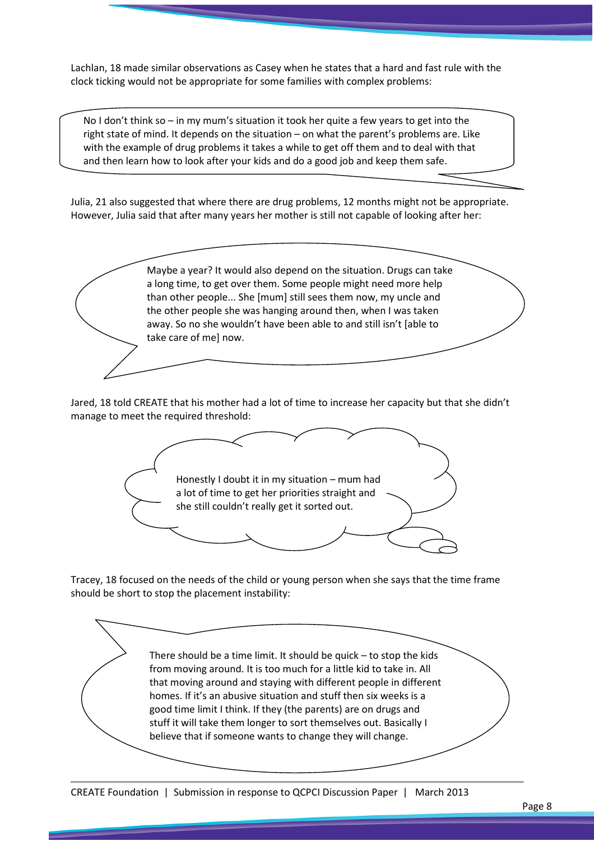Lachlan, 18 made similar observations as Casey when he states that a hard and fast rule with the clock ticking would not be appropriate for some families with complex problems:

No I don't think so – in my mum's situation it took her quite a few years to get into the right state of mind. It depends on the situation – on what the parent's problems are. Like with the example of drug problems it takes a while to get off them and to deal with that and then learn how to look after your kids and do a good job and keep them safe.

Julia, 21 also suggested that where there are drug problems, 12 months might not be appropriate. However, Julia said that after many years her mother is still not capable of looking after her:

> Maybe a year? It would also depend on the situation. Drugs can take a long time, to get over them. Some people might need more help than other people... She [mum] still sees them now, my uncle and the other people she was hanging around then, when I was taken away. So no she wouldn't have been able to and still isn't [able to take care of me] now.

Jared, 18 told CREATE that his mother had a lot of time to increase her capacity but that she didn't manage to meet the required threshold:



Tracey, 18 focused on the needs of the child or young person when she says that the time frame should be short to stop the placement instability:

> There should be a time limit. It should be quick – to stop the kids from moving around. It is too much for a little kid to take in. All that moving around and staying with different people in different homes. If it's an abusive situation and stuff then six weeks is a good time limit I think. If they (the parents) are on drugs and stuff it will take them longer to sort themselves out. Basically I believe that if someone wants to change they will change.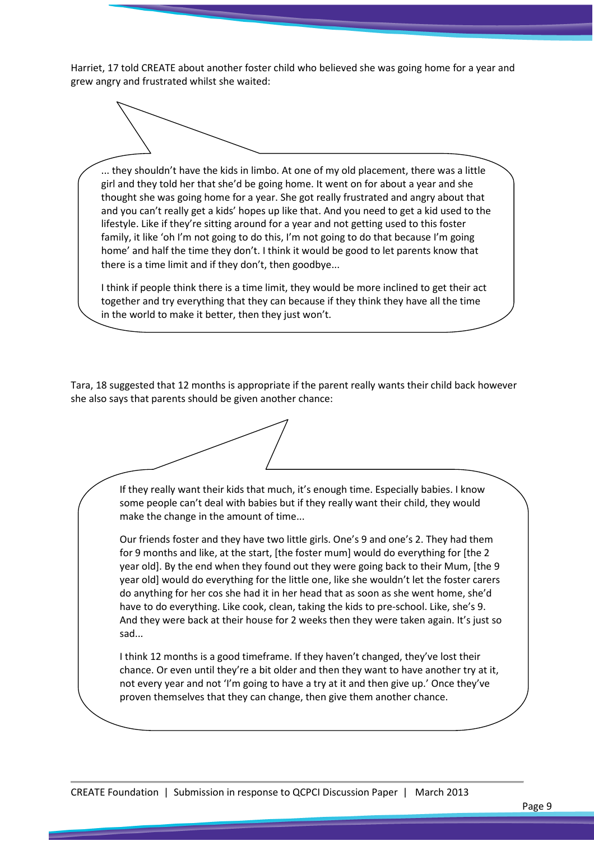Harriet, 17 told CREATE about another foster child who believed she was going home for a year and grew angry and frustrated whilst she waited:

... they shouldn't have the kids in limbo. At one of my old placement, there was a little girl and they told her that she'd be going home. It went on for about a year and she thought she was going home for a year. She got really frustrated and angry about that and you can't really get a kids' hopes up like that. And you need to get a kid used to the lifestyle. Like if they're sitting around for a year and not getting used to this foster family, it like 'oh I'm not going to do this, I'm not going to do that because I'm going home' and half the time they don't. I think it would be good to let parents know that there is a time limit and if they don't, then goodbye...

I think if people think there is a time limit, they would be more inclined to get their act together and try everything that they can because if they think they have all the time in the world to make it better, then they just won't.

Tara, 18 suggested that 12 months is appropriate if the parent really wants their child back however she also says that parents should be given another chance:

> If they really want their kids that much, it's enough time. Especially babies. I know some people can't deal with babies but if they really want their child, they would make the change in the amount of time...

Our friends foster and they have two little girls. One's 9 and one's 2. They had them for 9 months and like, at the start, [the foster mum] would do everything for [the 2 year old]. By the end when they found out they were going back to their Mum, [the 9 year old] would do everything for the little one, like she wouldn't let the foster carers do anything for her cos she had it in her head that as soon as she went home, she'd have to do everything. Like cook, clean, taking the kids to pre-school. Like, she's 9. And they were back at their house for 2 weeks then they were taken again. It's just so sad...

I think 12 months is a good timeframe. If they haven't changed, they've lost their chance. Or even until they're a bit older and then they want to have another try at it, not every year and not 'I'm going to have a try at it and then give up.' Once they've proven themselves that they can change, then give them another chance.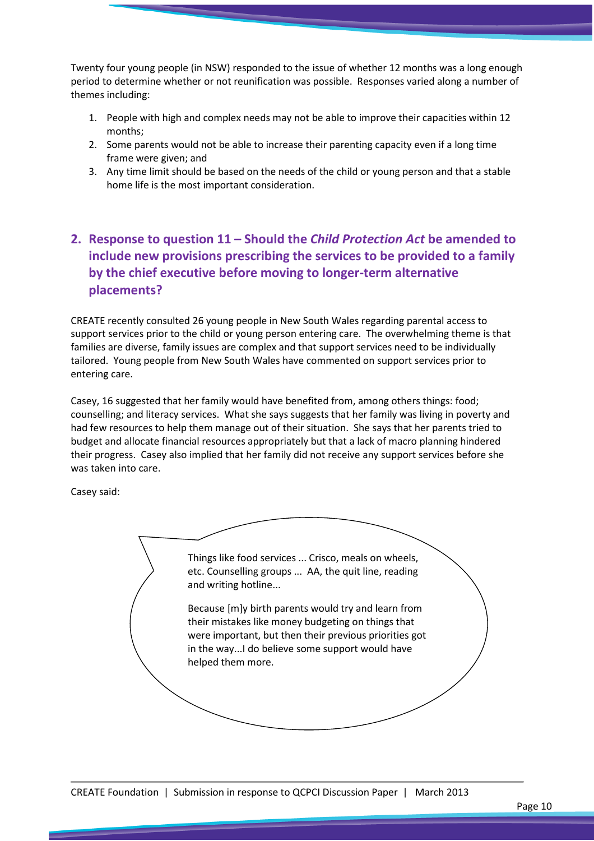Twenty four young people (in NSW) responded to the issue of whether 12 months was a long enough period to determine whether or not reunification was possible. Responses varied along a number of themes including:

- 1. People with high and complex needs may not be able to improve their capacities within 12 months;
- 2. Some parents would not be able to increase their parenting capacity even if a long time frame were given; and
- 3. Any time limit should be based on the needs of the child or young person and that a stable home life is the most important consideration.

## 2. Response to question 11 – Should the Child Protection Act be amended to include new provisions prescribing the services to be provided to a family by the chief executive before moving to longer-term alternative placements?

CREATE recently consulted 26 young people in New South Wales regarding parental access to support services prior to the child or young person entering care. The overwhelming theme is that families are diverse, family issues are complex and that support services need to be individually tailored. Young people from New South Wales have commented on support services prior to entering care.

Casey, 16 suggested that her family would have benefited from, among others things: food; counselling; and literacy services. What she says suggests that her family was living in poverty and had few resources to help them manage out of their situation. She says that her parents tried to budget and allocate financial resources appropriately but that a lack of macro planning hindered their progress. Casey also implied that her family did not receive any support services before she was taken into care.

Casey said:

Things like food services ... Crisco, meals on wheels, etc. Counselling groups ... AA, the quit line, reading and writing hotline... Because [m]y birth parents would try and learn from their mistakes like money budgeting on things that were important, but then their previous priorities got in the way...I do believe some support would have helped them more.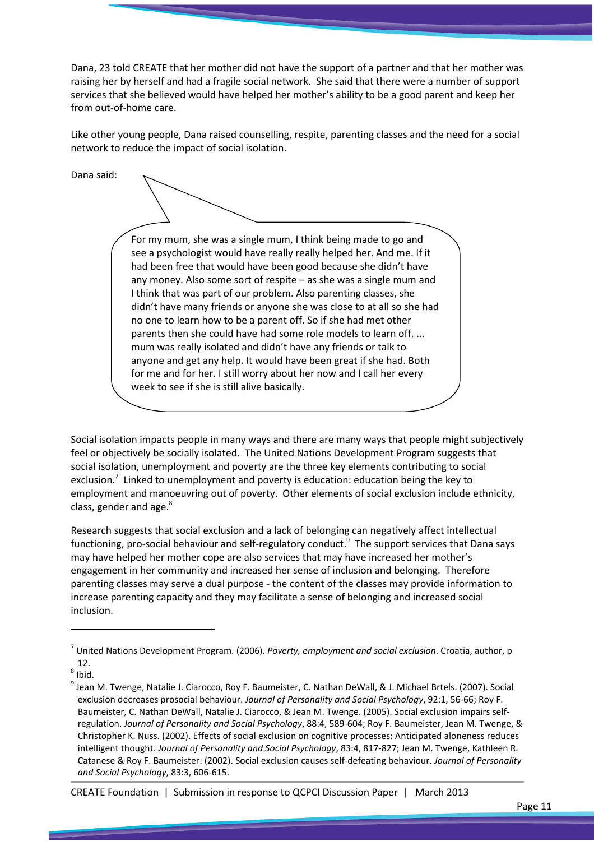Dana, 23 told CREATE that her mother did not have the support of a partner and that her mother was raising her by herself and had a fragile social network. She said that there were a number of support services that she believed would have helped her mother's ability to be a good parent and keep her from out-of-home care.

Like other young people, Dana raised counselling, respite, parenting classes and the need for a social network to reduce the impact of social isolation.

Dana said:

For my mum, she was a single mum, I think being made to go and see a psychologist would have really really helped her. And me. If it had been free that would have been good because she didn't have any money. Also some sort of respite – as she was a single mum and I think that was part of our problem. Also parenting classes, she didn't have many friends or anyone she was close to at all so she had no one to learn how to be a parent off. So if she had met other parents then she could have had some role models to learn off. ... mum was really isolated and didn't have any friends or talk to anyone and get any help. It would have been great if she had. Both for me and for her. I still worry about her now and I call her every week to see if she is still alive basically.

Social isolation impacts people in many ways and there are many ways that people might subjectively feel or objectively be socially isolated. The United Nations Development Program suggests that social isolation, unemployment and poverty are the three key elements contributing to social exclusion.<sup>7</sup> Linked to unemployment and poverty is education: education being the key to employment and manoeuvring out of poverty. Other elements of social exclusion include ethnicity, class, gender and age.<sup>8</sup>

Research suggests that social exclusion and a lack of belonging can negatively affect intellectual functioning, pro-social behaviour and self-regulatory conduct. $^{9}$  The support services that Dana says may have helped her mother cope are also services that may have increased her mother's engagement in her community and increased her sense of inclusion and belonging. Therefore parenting classes may serve a dual purpose - the content of the classes may provide information to increase parenting capacity and they may facilitate a sense of belonging and increased social inclusion.

 $\overline{a}$ 

CREATE Foundation | Submission in response to QCPCI Discussion Paper | March 2013

<sup>&</sup>lt;sup>7</sup> United Nations Development Program. (2006). Poverty, employment and social exclusion. Croatia, author, p 12.

 $^8$  Ibid.

<sup>&</sup>lt;sup>9</sup> Jean M. Twenge, Natalie J. Ciarocco, Roy F. Baumeister, C. Nathan DeWall, & J. Michael Brtels. (2007). Social exclusion decreases prosocial behaviour. Journal of Personality and Social Psychology, 92:1, 56-66; Roy F. Baumeister, C. Nathan DeWall, Natalie J. Ciarocco, & Jean M. Twenge. (2005). Social exclusion impairs selfregulation. Journal of Personality and Social Psychology, 88:4, 589-604; Roy F. Baumeister, Jean M. Twenge, & Christopher K. Nuss. (2002). Effects of social exclusion on cognitive processes: Anticipated aloneness reduces intelligent thought. Journal of Personality and Social Psychology, 83:4, 817-827; Jean M. Twenge, Kathleen R. Catanese & Roy F. Baumeister. (2002). Social exclusion causes self-defeating behaviour. Journal of Personality and Social Psychology, 83:3, 606-615.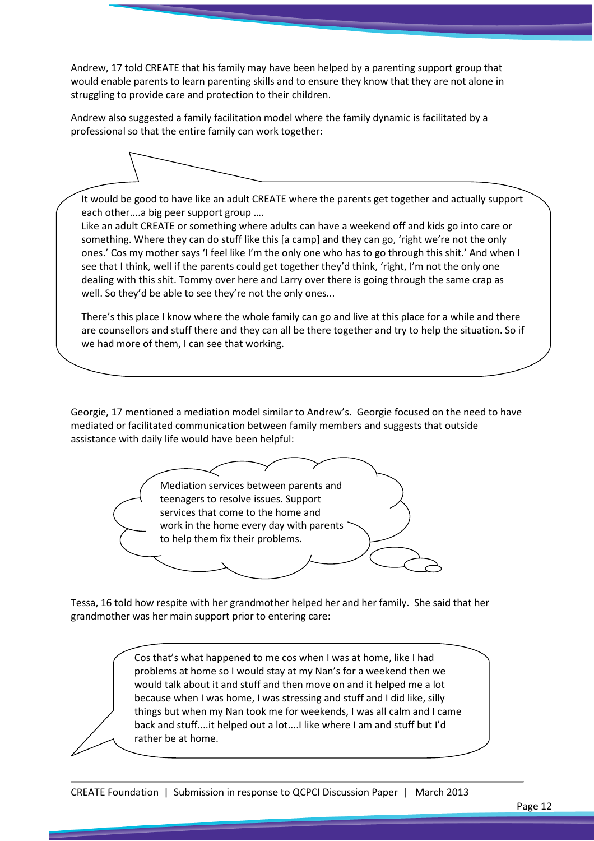Andrew, 17 told CREATE that his family may have been helped by a parenting support group that would enable parents to learn parenting skills and to ensure they know that they are not alone in struggling to provide care and protection to their children.

Andrew also suggested a family facilitation model where the family dynamic is facilitated by a professional so that the entire family can work together:

It would be good to have like an adult CREATE where the parents get together and actually support each other....a big peer support group ….

Like an adult CREATE or something where adults can have a weekend off and kids go into care or something. Where they can do stuff like this [a camp] and they can go, 'right we're not the only ones.' Cos my mother says 'I feel like I'm the only one who has to go through this shit.' And when I see that I think, well if the parents could get together they'd think, 'right, I'm not the only one dealing with this shit. Tommy over here and Larry over there is going through the same crap as well. So they'd be able to see they're not the only ones...

There's this place I know where the whole family can go and live at this place for a while and there are counsellors and stuff there and they can all be there together and try to help the situation. So if we had more of them, I can see that working.

Georgie, 17 mentioned a mediation model similar to Andrew's. Georgie focused on the need to have mediated or facilitated communication between family members and suggests that outside assistance with daily life would have been helpful:



Tessa, 16 told how respite with her grandmother helped her and her family. She said that her grandmother was her main support prior to entering care:

> Cos that's what happened to me cos when I was at home, like I had problems at home so I would stay at my Nan's for a weekend then we would talk about it and stuff and then move on and it helped me a lot because when I was home, I was stressing and stuff and I did like, silly things but when my Nan took me for weekends, I was all calm and I came back and stuff....it helped out a lot....I like where I am and stuff but I'd rather be at home.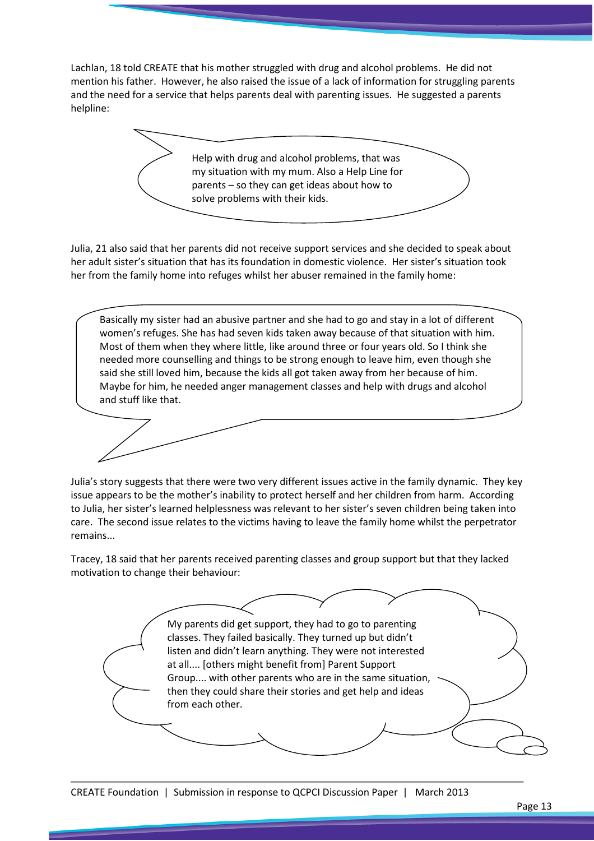Lachlan, 18 told CREATE that his mother struggled with drug and alcohol problems. He did not mention his father. However, he also raised the issue of a lack of information for struggling parents and the need for a service that helps parents deal with parenting issues. He suggested a parents helpline:

> Help with drug and alcohol problems, that was my situation with my mum. Also a Help Line for parents – so they can get ideas about how to solve problems with their kids.

Julia, 21 also said that her parents did not receive support services and she decided to speak about her adult sister's situation that has its foundation in domestic violence. Her sister's situation took her from the family home into refuges whilst her abuser remained in the family home:

Basically my sister had an abusive partner and she had to go and stay in a lot of different women's refuges. She has had seven kids taken away because of that situation with him. Most of them when they where little, like around three or four years old. So I think she needed more counselling and things to be strong enough to leave him, even though she said she still loved him, because the kids all got taken away from her because of him. Maybe for him, he needed anger management classes and help with drugs and alcohol and stuff like that.

Julia's story suggests that there were two very different issues active in the family dynamic. They key issue appears to be the mother's inability to protect herself and her children from harm. According to Julia, her sister's learned helplessness was relevant to her sister's seven children being taken into care. The second issue relates to the victims having to leave the family home whilst the perpetrator remains...

Tracey, 18 said that her parents received parenting classes and group support but that they lacked motivation to change their behaviour:

> My parents did get support, they had to go to parenting classes. They failed basically. They turned up but didn't listen and didn't learn anything. They were not interested at all.... [others might benefit from] Parent Support Group.... with other parents who are in the same situation, then they could share their stories and get help and ideas from each other.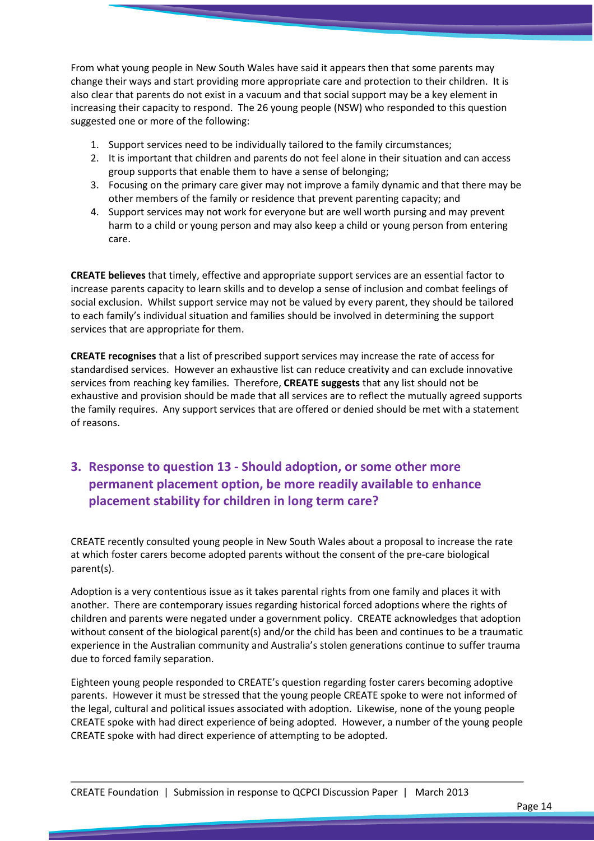From what young people in New South Wales have said it appears then that some parents may change their ways and start providing more appropriate care and protection to their children. It is also clear that parents do not exist in a vacuum and that social support may be a key element in increasing their capacity to respond. The 26 young people (NSW) who responded to this question suggested one or more of the following:

- 1. Support services need to be individually tailored to the family circumstances;
- 2. It is important that children and parents do not feel alone in their situation and can access group supports that enable them to have a sense of belonging;
- 3. Focusing on the primary care giver may not improve a family dynamic and that there may be other members of the family or residence that prevent parenting capacity; and
- 4. Support services may not work for everyone but are well worth pursing and may prevent harm to a child or young person and may also keep a child or young person from entering care.

CREATE believes that timely, effective and appropriate support services are an essential factor to increase parents capacity to learn skills and to develop a sense of inclusion and combat feelings of social exclusion. Whilst support service may not be valued by every parent, they should be tailored to each family's individual situation and families should be involved in determining the support services that are appropriate for them.

CREATE recognises that a list of prescribed support services may increase the rate of access for standardised services. However an exhaustive list can reduce creativity and can exclude innovative services from reaching key families. Therefore, CREATE suggests that any list should not be exhaustive and provision should be made that all services are to reflect the mutually agreed supports the family requires. Any support services that are offered or denied should be met with a statement of reasons.

## 3. Response to question 13 - Should adoption, or some other more permanent placement option, be more readily available to enhance placement stability for children in long term care?

CREATE recently consulted young people in New South Wales about a proposal to increase the rate at which foster carers become adopted parents without the consent of the pre-care biological parent(s).

Adoption is a very contentious issue as it takes parental rights from one family and places it with another. There are contemporary issues regarding historical forced adoptions where the rights of children and parents were negated under a government policy. CREATE acknowledges that adoption without consent of the biological parent(s) and/or the child has been and continues to be a traumatic experience in the Australian community and Australia's stolen generations continue to suffer trauma due to forced family separation.

Eighteen young people responded to CREATE's question regarding foster carers becoming adoptive parents. However it must be stressed that the young people CREATE spoke to were not informed of the legal, cultural and political issues associated with adoption. Likewise, none of the young people CREATE spoke with had direct experience of being adopted. However, a number of the young people CREATE spoke with had direct experience of attempting to be adopted.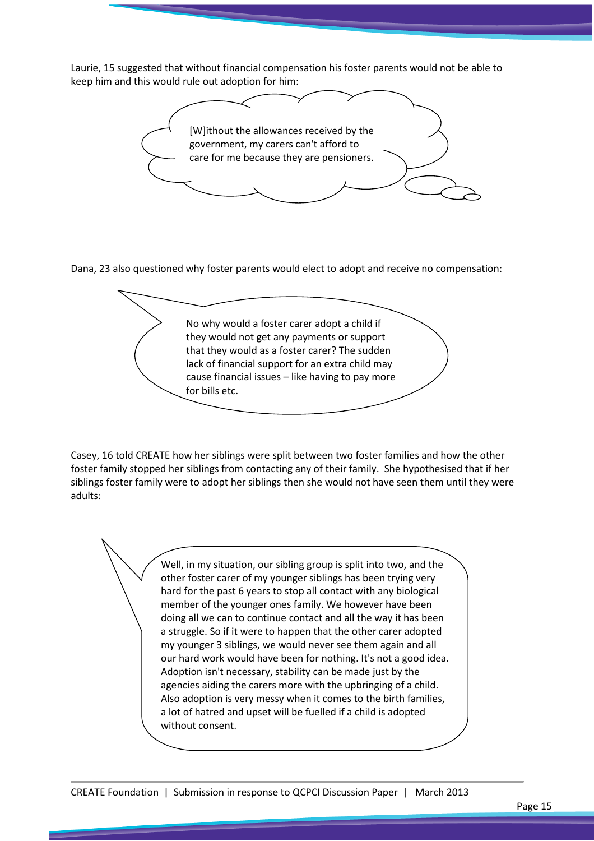Laurie, 15 suggested that without financial compensation his foster parents would not be able to keep him and this would rule out adoption for him:



Dana, 23 also questioned why foster parents would elect to adopt and receive no compensation:

No why would a foster carer adopt a child if they would not get any payments or support that they would as a foster carer? The sudden lack of financial support for an extra child may cause financial issues – like having to pay more for bills etc.

Casey, 16 told CREATE how her siblings were split between two foster families and how the other foster family stopped her siblings from contacting any of their family. She hypothesised that if her siblings foster family were to adopt her siblings then she would not have seen them until they were adults:

> Well, in my situation, our sibling group is split into two, and the other foster carer of my younger siblings has been trying very hard for the past 6 years to stop all contact with any biological member of the younger ones family. We however have been doing all we can to continue contact and all the way it has been a struggle. So if it were to happen that the other carer adopted my younger 3 siblings, we would never see them again and all our hard work would have been for nothing. It's not a good idea. Adoption isn't necessary, stability can be made just by the agencies aiding the carers more with the upbringing of a child. Also adoption is very messy when it comes to the birth families, a lot of hatred and upset will be fuelled if a child is adopted without consent.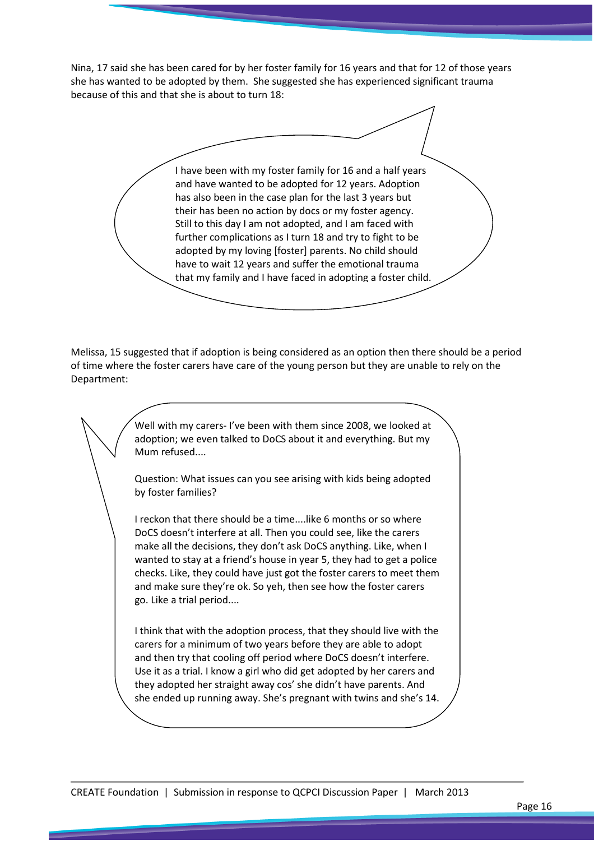Nina, 17 said she has been cared for by her foster family for 16 years and that for 12 of those years she has wanted to be adopted by them. She suggested she has experienced significant trauma because of this and that she is about to turn 18:

I have been with my foster family for 16 and a half years and have wanted to be adopted for 12 years. Adoption has also been in the case plan for the last 3 years but their has been no action by docs or my foster agency. Still to this day I am not adopted, and I am faced with further complications as I turn 18 and try to fight to be adopted by my loving [foster] parents. No child should have to wait 12 years and suffer the emotional trauma that my family and I have faced in adopting a foster child.

Melissa, 15 suggested that if adoption is being considered as an option then there should be a period of time where the foster carers have care of the young person but they are unable to rely on the Department:

> Well with my carers- I've been with them since 2008, we looked at adoption; we even talked to DoCS about it and everything. But my Mum refused....

Question: What issues can you see arising with kids being adopted by foster families?

I reckon that there should be a time....like 6 months or so where DoCS doesn't interfere at all. Then you could see, like the carers make all the decisions, they don't ask DoCS anything. Like, when I wanted to stay at a friend's house in year 5, they had to get a police checks. Like, they could have just got the foster carers to meet them and make sure they're ok. So yeh, then see how the foster carers go. Like a trial period....

I think that with the adoption process, that they should live with the carers for a minimum of two years before they are able to adopt and then try that cooling off period where DoCS doesn't interfere. Use it as a trial. I know a girl who did get adopted by her carers and they adopted her straight away cos' she didn't have parents. And she ended up running away. She's pregnant with twins and she's 14.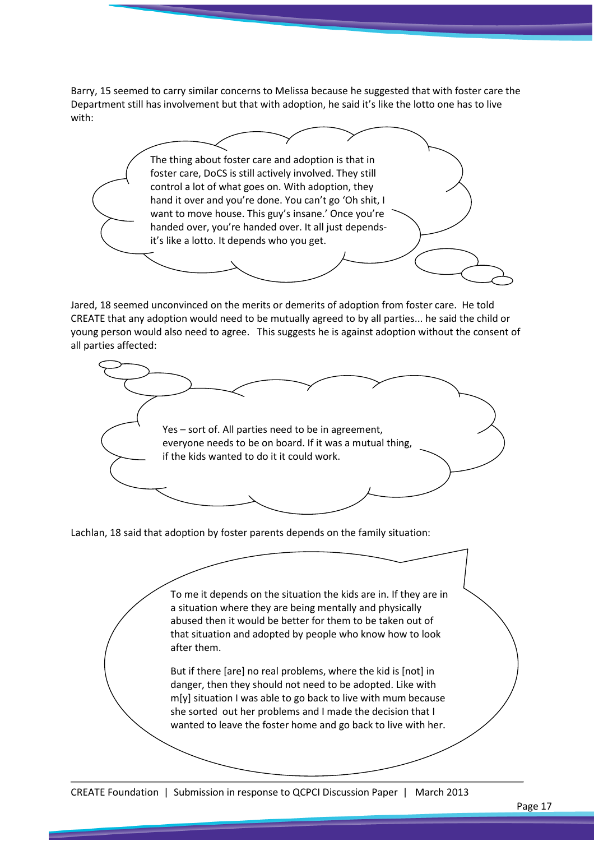Barry, 15 seemed to carry similar concerns to Melissa because he suggested that with foster care the Department still has involvement but that with adoption, he said it's like the lotto one has to live with:

The thing about foster care and adoption is that in foster care, DoCS is still actively involved. They still control a lot of what goes on. With adoption, they hand it over and you're done. You can't go 'Oh shit, I want to move house. This guy's insane.' Once you're handed over, you're handed over. It all just dependsit's like a lotto. It depends who you get.

Jared, 18 seemed unconvinced on the merits or demerits of adoption from foster care. He told CREATE that any adoption would need to be mutually agreed to by all parties... he said the child or young person would also need to agree. This suggests he is against adoption without the consent of all parties affected:



Lachlan, 18 said that adoption by foster parents depends on the family situation:

To me it depends on the situation the kids are in. If they are in a situation where they are being mentally and physically abused then it would be better for them to be taken out of that situation and adopted by people who know how to look after them. But if there [are] no real problems, where the kid is [not] in danger, then they should not need to be adopted. Like with m[y] situation I was able to go back to live with mum because she sorted out her problems and I made the decision that I wanted to leave the foster home and go back to live with her.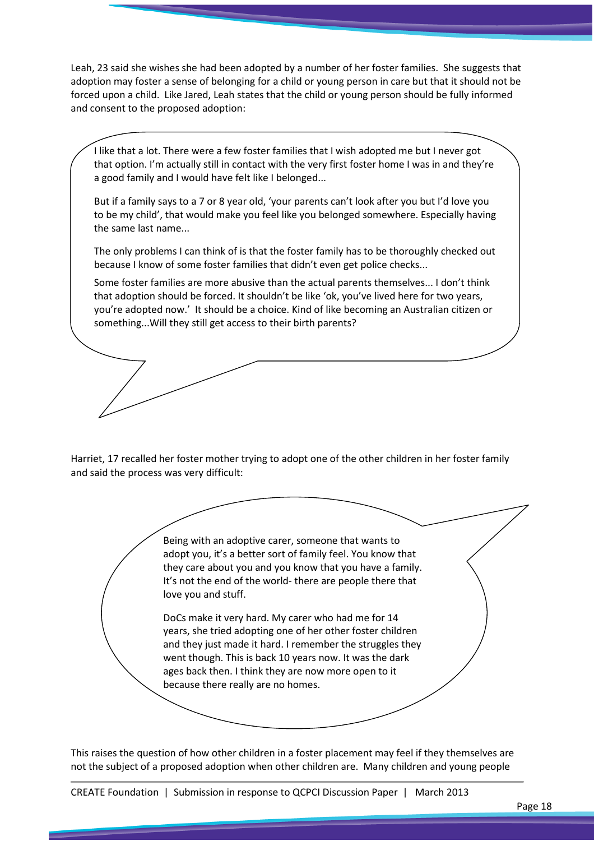Leah, 23 said she wishes she had been adopted by a number of her foster families. She suggests that adoption may foster a sense of belonging for a child or young person in care but that it should not be forced upon a child. Like Jared, Leah states that the child or young person should be fully informed and consent to the proposed adoption:

I like that a lot. There were a few foster families that I wish adopted me but I never got that option. I'm actually still in contact with the very first foster home I was in and they're a good family and I would have felt like I belonged...

But if a family says to a 7 or 8 year old, 'your parents can't look after you but I'd love you to be my child', that would make you feel like you belonged somewhere. Especially having the same last name...

The only problems I can think of is that the foster family has to be thoroughly checked out because I know of some foster families that didn't even get police checks...

Some foster families are more abusive than the actual parents themselves... I don't think that adoption should be forced. It shouldn't be like 'ok, you've lived here for two years, you're adopted now.' It should be a choice. Kind of like becoming an Australian citizen or something...Will they still get access to their birth parents?

Harriet, 17 recalled her foster mother trying to adopt one of the other children in her foster family and said the process was very difficult:

> Being with an adoptive carer, someone that wants to adopt you, it's a better sort of family feel. You know that they care about you and you know that you have a family. It's not the end of the world- there are people there that love you and stuff.

> DoCs make it very hard. My carer who had me for 14 years, she tried adopting one of her other foster children and they just made it hard. I remember the struggles they went though. This is back 10 years now. It was the dark ages back then. I think they are now more open to it because there really are no homes.

This raises the question of how other children in a foster placement may feel if they themselves are not the subject of a proposed adoption when other children are. Many children and young people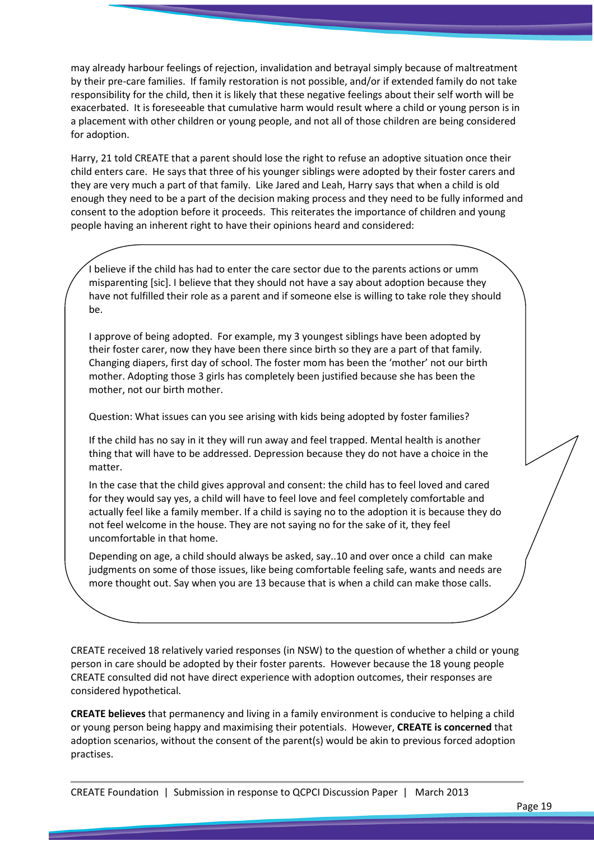may already harbour feelings of rejection, invalidation and betrayal simply because of maltreatment by their pre-care families. If family restoration is not possible, and/or if extended family do not take responsibility for the child, then it is likely that these negative feelings about their self worth will be exacerbated. It is foreseeable that cumulative harm would result where a child or young person is in a placement with other children or young people, and not all of those children are being considered for adoption.

Harry, 21 told CREATE that a parent should lose the right to refuse an adoptive situation once their child enters care. He says that three of his younger siblings were adopted by their foster carers and they are very much a part of that family. Like Jared and Leah, Harry says that when a child is old enough they need to be a part of the decision making process and they need to be fully informed and consent to the adoption before it proceeds. This reiterates the importance of children and young people having an inherent right to have their opinions heard and considered:

I believe if the child has had to enter the care sector due to the parents actions or umm misparenting [sic]. I believe that they should not have a say about adoption because they have not fulfilled their role as a parent and if someone else is willing to take role they should be.

I approve of being adopted. For example, my 3 youngest siblings have been adopted by their foster carer, now they have been there since birth so they are a part of that family. Changing diapers, first day of school. The foster mom has been the 'mother' not our birth mother. Adopting those 3 girls has completely been justified because she has been the mother, not our birth mother.

Question: What issues can you see arising with kids being adopted by foster families?

If the child has no say in it they will run away and feel trapped. Mental health is another thing that will have to be addressed. Depression because they do not have a choice in the matter.

In the case that the child gives approval and consent: the child has to feel loved and cared for they would say yes, a child will have to feel love and feel completely comfortable and actually feel like a family member. If a child is saying no to the adoption it is because they do not feel welcome in the house. They are not saying no for the sake of it, they feel uncomfortable in that home.

Depending on age, a child should always be asked, say..10 and over once a child can make judgments on some of those issues, like being comfortable feeling safe, wants and needs are more thought out. Say when you are 13 because that is when a child can make those calls.

CREATE received 18 relatively varied responses (in NSW) to the question of whether a child or young person in care should be adopted by their foster parents. However because the 18 young people CREATE consulted did not have direct experience with adoption outcomes, their responses are considered hypothetical.

CREATE believes that permanency and living in a family environment is conducive to helping a child or young person being happy and maximising their potentials. However, CREATE is concerned that adoption scenarios, without the consent of the parent(s) would be akin to previous forced adoption practises.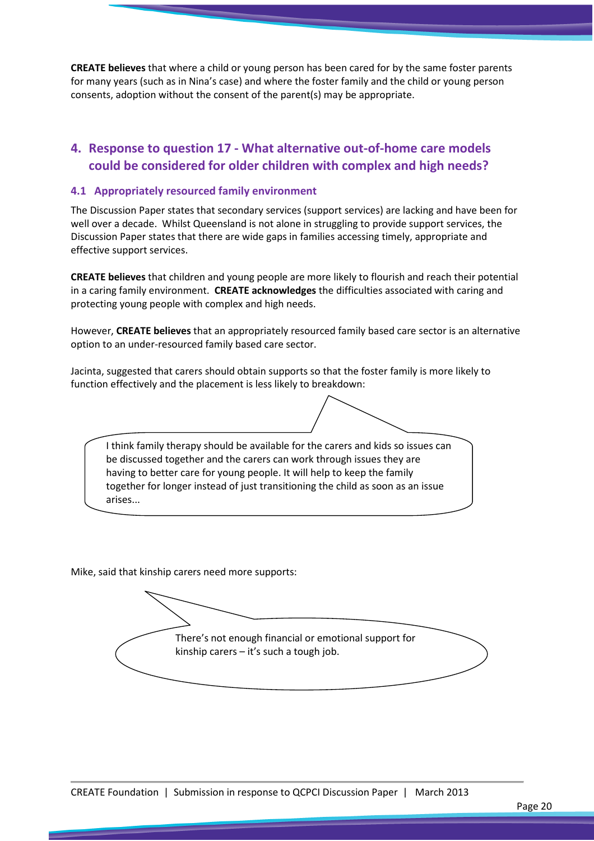CREATE believes that where a child or young person has been cared for by the same foster parents for many years (such as in Nina's case) and where the foster family and the child or young person consents, adoption without the consent of the parent(s) may be appropriate.

### 4. Response to question 17 - What alternative out-of-home care models could be considered for older children with complex and high needs?

#### 4.1 Appropriately resourced family environment

The Discussion Paper states that secondary services (support services) are lacking and have been for well over a decade. Whilst Queensland is not alone in struggling to provide support services, the Discussion Paper states that there are wide gaps in families accessing timely, appropriate and effective support services.

CREATE believes that children and young people are more likely to flourish and reach their potential in a caring family environment. CREATE acknowledges the difficulties associated with caring and protecting young people with complex and high needs.

However, CREATE believes that an appropriately resourced family based care sector is an alternative option to an under-resourced family based care sector.

Jacinta, suggested that carers should obtain supports so that the foster family is more likely to function effectively and the placement is less likely to breakdown:

I think family therapy should be available for the carers and kids so issues can be discussed together and the carers can work through issues they are having to better care for young people. It will help to keep the family together for longer instead of just transitioning the child as soon as an issue arises...

Mike, said that kinship carers need more supports:

There's not enough financial or emotional support for kinship carers – it's such a tough job.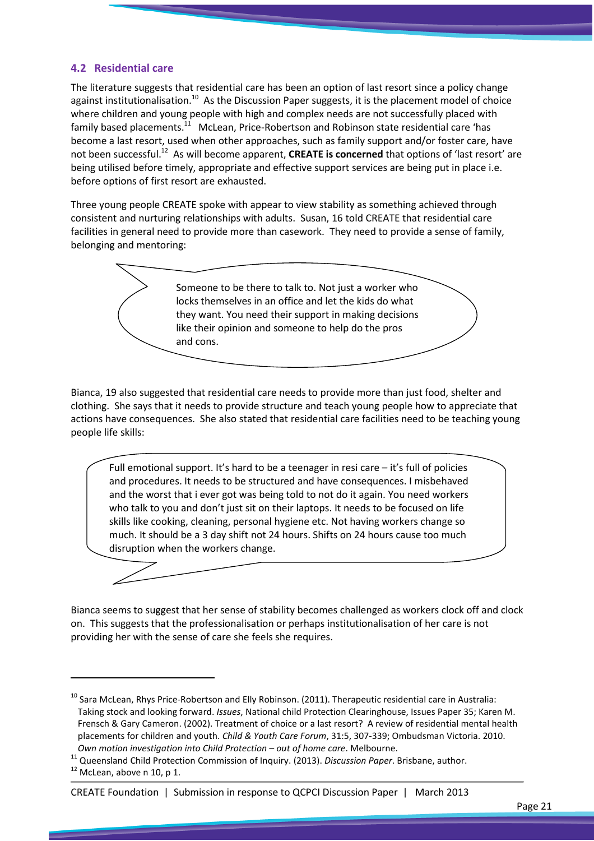#### 4.2 Residential care

The literature suggests that residential care has been an option of last resort since a policy change against institutionalisation.<sup>10</sup> As the Discussion Paper suggests, it is the placement model of choice where children and young people with high and complex needs are not successfully placed with family based placements.<sup>11</sup> McLean, Price-Robertson and Robinson state residential care 'has become a last resort, used when other approaches, such as family support and/or foster care, have not been successful.<sup>12</sup> As will become apparent, CREATE is concerned that options of 'last resort' are being utilised before timely, appropriate and effective support services are being put in place i.e. before options of first resort are exhausted.

Three young people CREATE spoke with appear to view stability as something achieved through consistent and nurturing relationships with adults. Susan, 16 told CREATE that residential care facilities in general need to provide more than casework. They need to provide a sense of family, belonging and mentoring:



Bianca, 19 also suggested that residential care needs to provide more than just food, shelter and clothing. She says that it needs to provide structure and teach young people how to appreciate that actions have consequences. She also stated that residential care facilities need to be teaching young people life skills:

Full emotional support. It's hard to be a teenager in resi care – it's full of policies and procedures. It needs to be structured and have consequences. I misbehaved and the worst that i ever got was being told to not do it again. You need workers who talk to you and don't just sit on their laptops. It needs to be focused on life skills like cooking, cleaning, personal hygiene etc. Not having workers change so much. It should be a 3 day shift not 24 hours. Shifts on 24 hours cause too much disruption when the workers change.



Bianca seems to suggest that her sense of stability becomes challenged as workers clock off and clock on. This suggests that the professionalisation or perhaps institutionalisation of her care is not providing her with the sense of care she feels she requires.

 $\overline{a}$ 

#### CREATE Foundation | Submission in response to QCPCI Discussion Paper | March 2013

 $^{10}$  Sara McLean, Rhys Price-Robertson and Elly Robinson. (2011). Therapeutic residential care in Australia: Taking stock and looking forward. Issues, National child Protection Clearinghouse, Issues Paper 35; Karen M. Frensch & Gary Cameron. (2002). Treatment of choice or a last resort? A review of residential mental health placements for children and youth. Child & Youth Care Forum, 31:5, 307-339; Ombudsman Victoria. 2010. Own motion investigation into Child Protection – out of home care. Melbourne.

<sup>11</sup> Queensland Child Protection Commission of Inquiry. (2013). Discussion Paper. Brisbane, author.

 $12$  McLean, above n 10, p 1.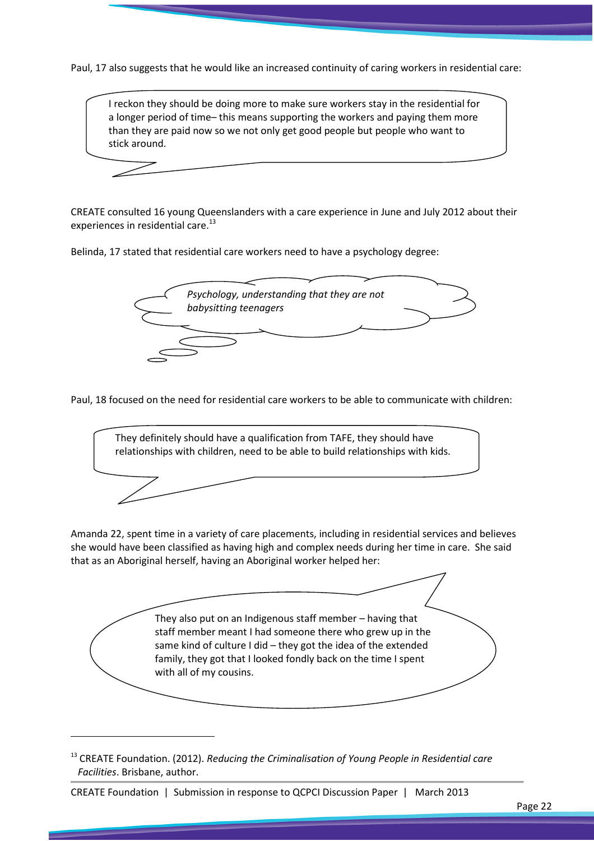Paul, 17 also suggests that he would like an increased continuity of caring workers in residential care:



CREATE consulted 16 young Queenslanders with a care experience in June and July 2012 about their experiences in residential care.<sup>13</sup>

Belinda, 17 stated that residential care workers need to have a psychology degree:



Paul, 18 focused on the need for residential care workers to be able to communicate with children:



Amanda 22, spent time in a variety of care placements, including in residential services and believes she would have been classified as having high and complex needs during her time in care. She said that as an Aboriginal herself, having an Aboriginal worker helped her:



 $13$  CREATE Foundation. (2012). Reducing the Criminalisation of Young People in Residential care Facilities. Brisbane, author.

CREATE Foundation | Submission in response to QCPCI Discussion Paper | March 2013

 $\overline{\phantom{0}}$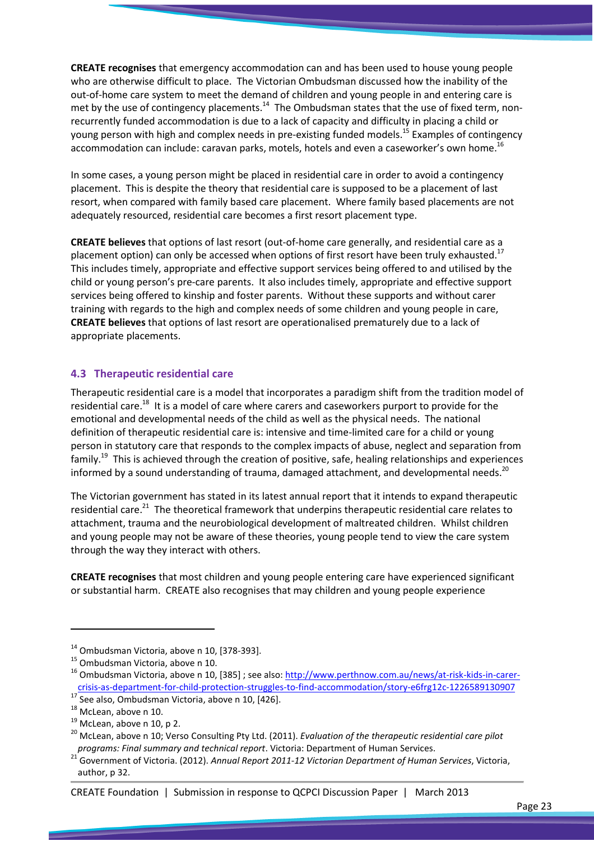CREATE recognises that emergency accommodation can and has been used to house young people who are otherwise difficult to place. The Victorian Ombudsman discussed how the inability of the out-of-home care system to meet the demand of children and young people in and entering care is met by the use of contingency placements.<sup>14</sup> The Ombudsman states that the use of fixed term, nonrecurrently funded accommodation is due to a lack of capacity and difficulty in placing a child or young person with high and complex needs in pre-existing funded models.<sup>15</sup> Examples of contingency accommodation can include: caravan parks, motels, hotels and even a caseworker's own home.<sup>16</sup>

In some cases, a young person might be placed in residential care in order to avoid a contingency placement. This is despite the theory that residential care is supposed to be a placement of last resort, when compared with family based care placement. Where family based placements are not adequately resourced, residential care becomes a first resort placement type.

CREATE believes that options of last resort (out-of-home care generally, and residential care as a placement option) can only be accessed when options of first resort have been truly exhausted.<sup>17</sup> This includes timely, appropriate and effective support services being offered to and utilised by the child or young person's pre-care parents. It also includes timely, appropriate and effective support services being offered to kinship and foster parents. Without these supports and without carer training with regards to the high and complex needs of some children and young people in care, CREATE believes that options of last resort are operationalised prematurely due to a lack of appropriate placements.

#### 4.3 Therapeutic residential care

Therapeutic residential care is a model that incorporates a paradigm shift from the tradition model of residential care.<sup>18</sup> It is a model of care where carers and caseworkers purport to provide for the emotional and developmental needs of the child as well as the physical needs. The national definition of therapeutic residential care is: intensive and time-limited care for a child or young person in statutory care that responds to the complex impacts of abuse, neglect and separation from family.<sup>19</sup> This is achieved through the creation of positive, safe, healing relationships and experiences informed by a sound understanding of trauma, damaged attachment, and developmental needs.<sup>20</sup>

The Victorian government has stated in its latest annual report that it intends to expand therapeutic residential care.<sup>21</sup> The theoretical framework that underpins therapeutic residential care relates to attachment, trauma and the neurobiological development of maltreated children. Whilst children and young people may not be aware of these theories, young people tend to view the care system through the way they interact with others.

CREATE recognises that most children and young people entering care have experienced significant or substantial harm. CREATE also recognises that may children and young people experience

 $\overline{a}$ 

 $14$  Ombudsman Victoria, above n 10, [378-393].

<sup>&</sup>lt;sup>15</sup> Ombudsman Victoria, above n 10.

<sup>&</sup>lt;sup>16</sup> Ombudsman Victoria, above n 10, [385] ; see also: http://www.perthnow.com.au/news/at-risk-kids-in-carercrisis-as-department-for-child-protection-struggles-to-find-accommodation/story-e6frg12c-1226589130907

 $17$  See also, Ombudsman Victoria, above n 10, [426].

<sup>&</sup>lt;sup>18</sup> McLean, above n 10.

 $19$  McLean, above n 10, p 2.

<sup>&</sup>lt;sup>20</sup> McLean, above n 10; Verso Consulting Pty Ltd. (2011). Evaluation of the therapeutic residential care pilot programs: Final summary and technical report. Victoria: Department of Human Services.

<sup>&</sup>lt;sup>21</sup> Government of Victoria. (2012). Annual Report 2011-12 Victorian Department of Human Services, Victoria, author, p 32.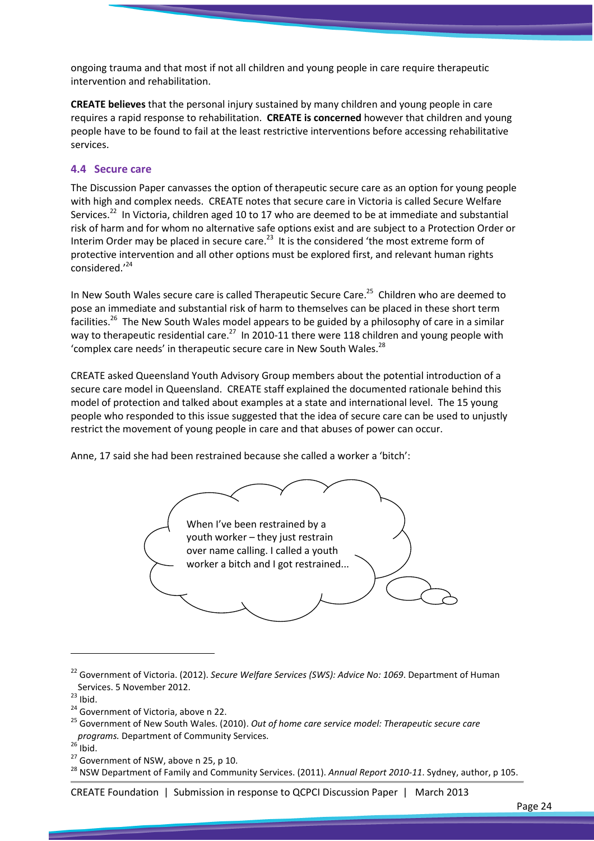ongoing trauma and that most if not all children and young people in care require therapeutic intervention and rehabilitation.

CREATE believes that the personal injury sustained by many children and young people in care requires a rapid response to rehabilitation. CREATE is concerned however that children and young people have to be found to fail at the least restrictive interventions before accessing rehabilitative services.

#### 4.4 Secure care

The Discussion Paper canvasses the option of therapeutic secure care as an option for young people with high and complex needs. CREATE notes that secure care in Victoria is called Secure Welfare Services.<sup>22</sup> In Victoria, children aged 10 to 17 who are deemed to be at immediate and substantial risk of harm and for whom no alternative safe options exist and are subject to a Protection Order or Interim Order may be placed in secure care.<sup>23</sup> It is the considered 'the most extreme form of protective intervention and all other options must be explored first, and relevant human rights considered.'<sup>24</sup>

In New South Wales secure care is called Therapeutic Secure Care.<sup>25</sup> Children who are deemed to pose an immediate and substantial risk of harm to themselves can be placed in these short term facilities.<sup>26</sup> The New South Wales model appears to be guided by a philosophy of care in a similar way to therapeutic residential care.<sup>27</sup> In 2010-11 there were 118 children and young people with 'complex care needs' in therapeutic secure care in New South Wales.<sup>28</sup>

CREATE asked Queensland Youth Advisory Group members about the potential introduction of a secure care model in Queensland. CREATE staff explained the documented rationale behind this model of protection and talked about examples at a state and international level. The 15 young people who responded to this issue suggested that the idea of secure care can be used to unjustly restrict the movement of young people in care and that abuses of power can occur.

Anne, 17 said she had been restrained because she called a worker a 'bitch':



<sup>&</sup>lt;sup>22</sup> Government of Victoria. (2012). Secure Welfare Services (SWS): Advice No: 1069. Department of Human Services. 5 November 2012.

 $\overline{a}$ 

 $27$  Government of NSW, above n 25, p 10.

CREATE Foundation | Submission in response to QCPCI Discussion Paper | March 2013

 $23$  Ibid.

<sup>&</sup>lt;sup>24</sup> Government of Victoria, above n 22.

<sup>&</sup>lt;sup>25</sup> Government of New South Wales. (2010). Out of home care service model: Therapeutic secure care programs. Department of Community Services.

 $26$  Ibid.

<sup>&</sup>lt;sup>28</sup> NSW Department of Family and Community Services. (2011). Annual Report 2010-11. Sydney, author, p 105.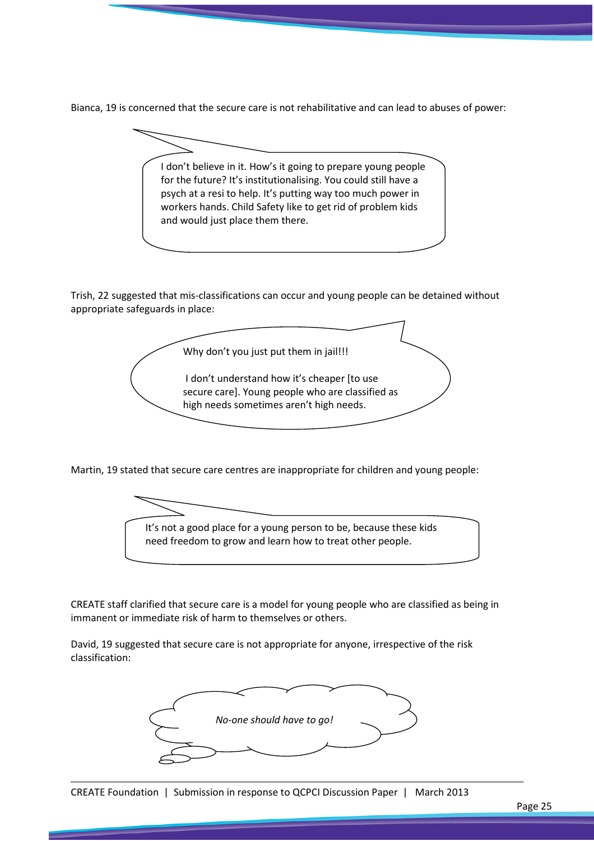Bianca, 19 is concerned that the secure care is not rehabilitative and can lead to abuses of power:

I don't believe in it. How's it going to prepare young people for the future? It's institutionalising. You could still have a psych at a resi to help. It's putting way too much power in workers hands. Child Safety like to get rid of problem kids and would just place them there.

Trish, 22 suggested that mis-classifications can occur and young people can be detained without appropriate safeguards in place:

Why don't you just put them in jail!!! I don't understand how it's cheaper [to use secure care]. Young people who are classified as high needs sometimes aren't high needs.

Martin, 19 stated that secure care centres are inappropriate for children and young people:



CREATE staff clarified that secure care is a model for young people who are classified as being in immanent or immediate risk of harm to themselves or others.

David, 19 suggested that secure care is not appropriate for anyone, irrespective of the risk classification:

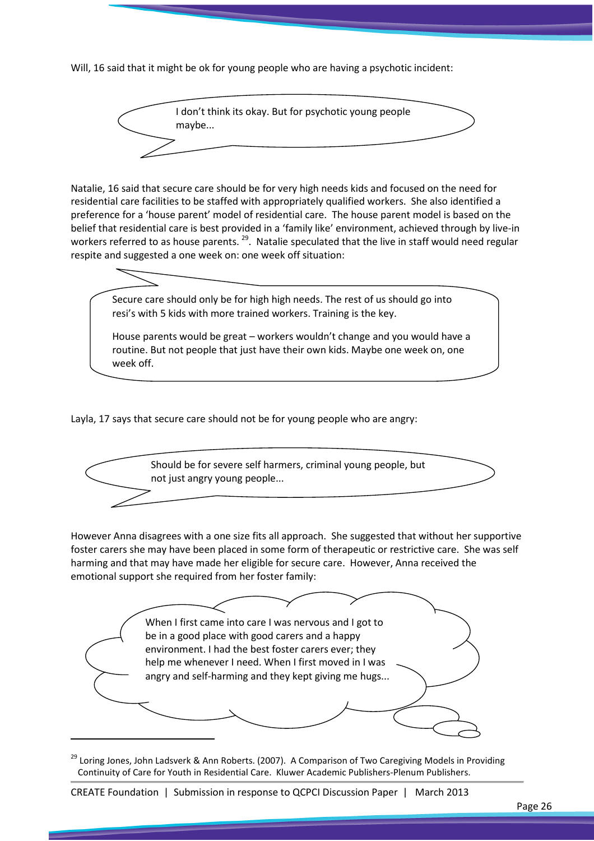Will, 16 said that it might be ok for young people who are having a psychotic incident:

I don't think its okay. But for psychotic young people maybe...

Natalie, 16 said that secure care should be for very high needs kids and focused on the need for residential care facilities to be staffed with appropriately qualified workers. She also identified a preference for a 'house parent' model of residential care. The house parent model is based on the belief that residential care is best provided in a 'family like' environment, achieved through by live-in workers referred to as house parents.<sup>29</sup>. Natalie speculated that the live in staff would need regular respite and suggested a one week on: one week off situation:



Layla, 17 says that secure care should not be for young people who are angry:



However Anna disagrees with a one size fits all approach. She suggested that without her supportive foster carers she may have been placed in some form of therapeutic or restrictive care. She was self harming and that may have made her eligible for secure care. However, Anna received the emotional support she required from her foster family:



<sup>&</sup>lt;sup>29</sup> Loring Jones, John Ladsverk & Ann Roberts. (2007). A Comparison of Two Caregiving Models in Providing Continuity of Care for Youth in Residential Care. Kluwer Academic Publishers-Plenum Publishers.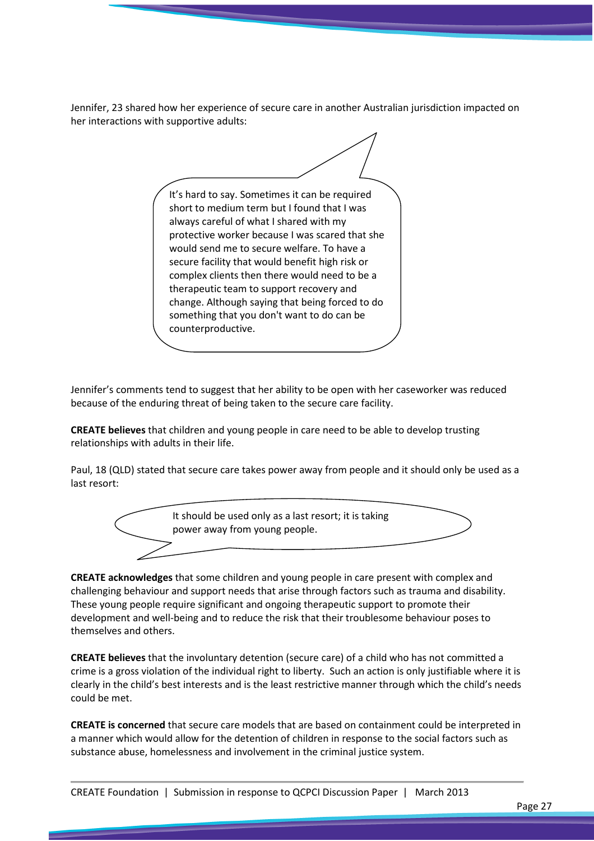Jennifer, 23 shared how her experience of secure care in another Australian jurisdiction impacted on her interactions with supportive adults:

It's hard to say. Sometimes it can be required short to medium term but I found that I was always careful of what I shared with my protective worker because I was scared that she would send me to secure welfare. To have a secure facility that would benefit high risk or complex clients then there would need to be a therapeutic team to support recovery and change. Although saying that being forced to do something that you don't want to do can be counterproductive.

Jennifer's comments tend to suggest that her ability to be open with her caseworker was reduced because of the enduring threat of being taken to the secure care facility.

CREATE believes that children and young people in care need to be able to develop trusting relationships with adults in their life.

Paul, 18 (QLD) stated that secure care takes power away from people and it should only be used as a last resort:



CREATE acknowledges that some children and young people in care present with complex and challenging behaviour and support needs that arise through factors such as trauma and disability. These young people require significant and ongoing therapeutic support to promote their development and well-being and to reduce the risk that their troublesome behaviour poses to themselves and others.

CREATE believes that the involuntary detention (secure care) of a child who has not committed a crime is a gross violation of the individual right to liberty. Such an action is only justifiable where it is clearly in the child's best interests and is the least restrictive manner through which the child's needs could be met.

CREATE is concerned that secure care models that are based on containment could be interpreted in a manner which would allow for the detention of children in response to the social factors such as substance abuse, homelessness and involvement in the criminal justice system.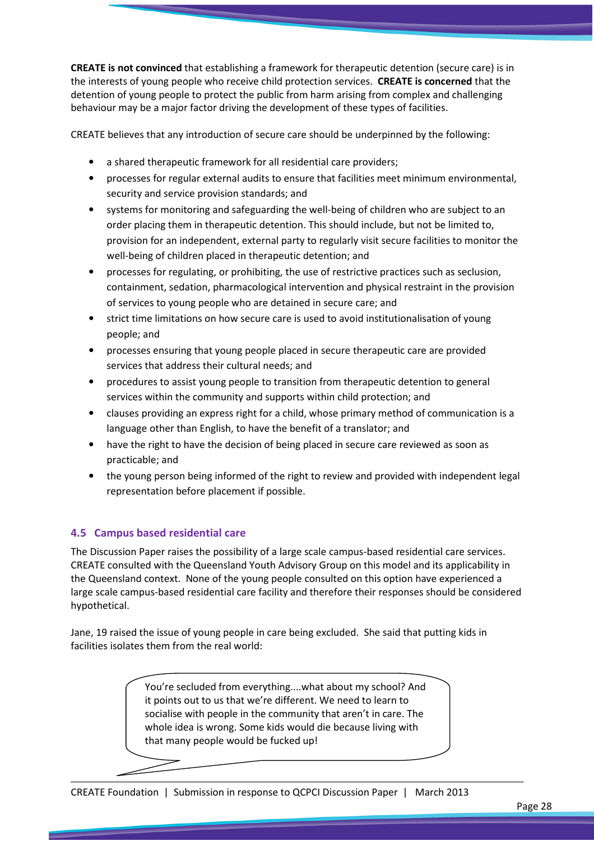CREATE is not convinced that establishing a framework for therapeutic detention (secure care) is in the interests of young people who receive child protection services. CREATE is concerned that the detention of young people to protect the public from harm arising from complex and challenging behaviour may be a major factor driving the development of these types of facilities.

CREATE believes that any introduction of secure care should be underpinned by the following:

- a shared therapeutic framework for all residential care providers:
- processes for regular external audits to ensure that facilities meet minimum environmental, security and service provision standards; and
- systems for monitoring and safeguarding the well-being of children who are subject to an order placing them in therapeutic detention. This should include, but not be limited to, provision for an independent, external party to regularly visit secure facilities to monitor the well-being of children placed in therapeutic detention; and
- processes for regulating, or prohibiting, the use of restrictive practices such as seclusion, containment, sedation, pharmacological intervention and physical restraint in the provision of services to young people who are detained in secure care; and
- strict time limitations on how secure care is used to avoid institutionalisation of young people; and
- processes ensuring that young people placed in secure therapeutic care are provided services that address their cultural needs; and
- procedures to assist young people to transition from therapeutic detention to general services within the community and supports within child protection; and
- clauses providing an express right for a child, whose primary method of communication is a language other than English, to have the benefit of a translator; and
- have the right to have the decision of being placed in secure care reviewed as soon as practicable; and
- the young person being informed of the right to review and provided with independent legal representation before placement if possible.

#### 4.5 Campus based residential care

The Discussion Paper raises the possibility of a large scale campus-based residential care services. CREATE consulted with the Queensland Youth Advisory Group on this model and its applicability in the Queensland context. None of the young people consulted on this option have experienced a large scale campus-based residential care facility and therefore their responses should be considered hypothetical.

Jane, 19 raised the issue of young people in care being excluded. She said that putting kids in facilities isolates them from the real world:

> You're secluded from everything....what about my school? And it points out to us that we're different. We need to learn to socialise with people in the community that aren't in care. The whole idea is wrong. Some kids would die because living with that many people would be fucked up!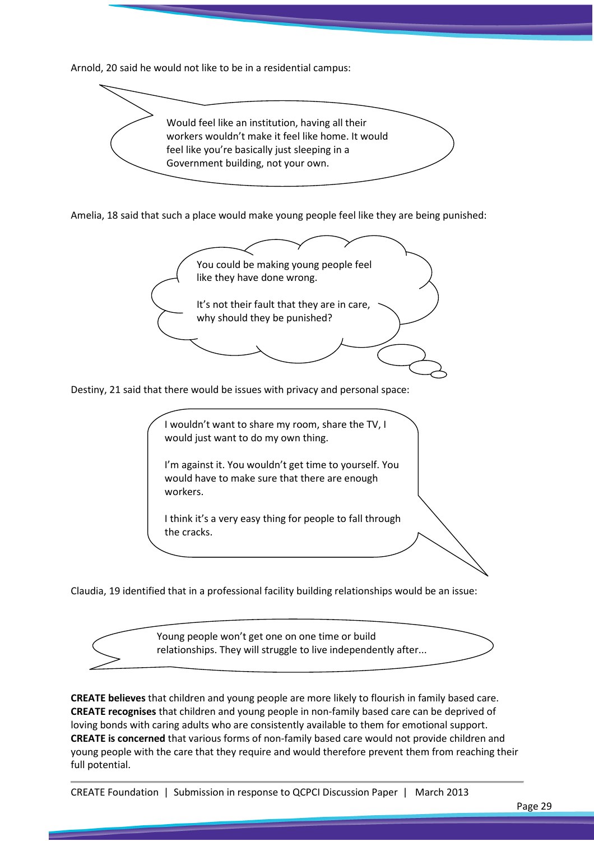Arnold, 20 said he would not like to be in a residential campus:

![](_page_28_Picture_1.jpeg)

Amelia, 18 said that such a place would make young people feel like they are being punished:

![](_page_28_Figure_3.jpeg)

Claudia, 19 identified that in a professional facility building relationships would be an issue:

![](_page_28_Picture_5.jpeg)

CREATE believes that children and young people are more likely to flourish in family based care. CREATE recognises that children and young people in non-family based care can be deprived of loving bonds with caring adults who are consistently available to them for emotional support. CREATE is concerned that various forms of non-family based care would not provide children and young people with the care that they require and would therefore prevent them from reaching their full potential.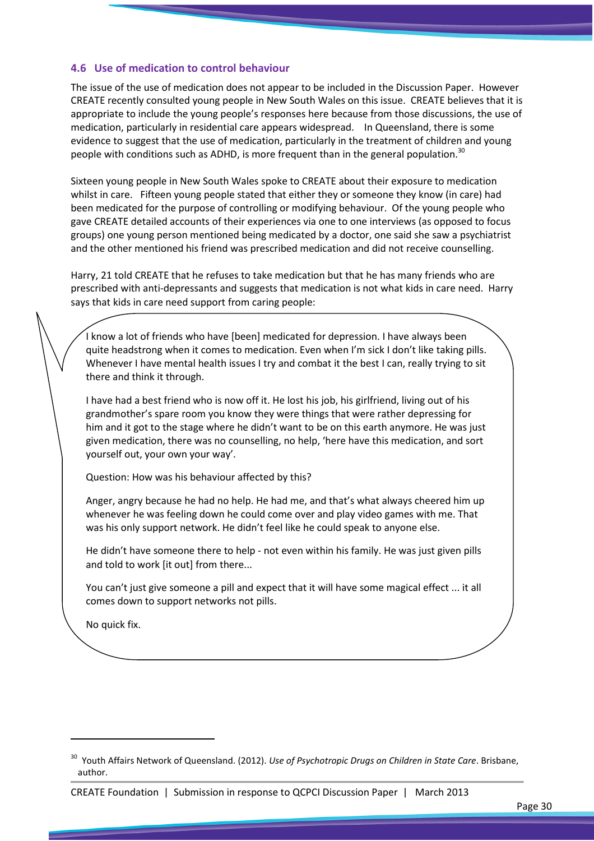#### 4.6 Use of medication to control behaviour

The issue of the use of medication does not appear to be included in the Discussion Paper. However CREATE recently consulted young people in New South Wales on this issue. CREATE believes that it is appropriate to include the young people's responses here because from those discussions, the use of medication, particularly in residential care appears widespread. In Queensland, there is some evidence to suggest that the use of medication, particularly in the treatment of children and young people with conditions such as ADHD, is more frequent than in the general population.<sup>30</sup>

Sixteen young people in New South Wales spoke to CREATE about their exposure to medication whilst in care. Fifteen young people stated that either they or someone they know (in care) had been medicated for the purpose of controlling or modifying behaviour. Of the young people who gave CREATE detailed accounts of their experiences via one to one interviews (as opposed to focus groups) one young person mentioned being medicated by a doctor, one said she saw a psychiatrist and the other mentioned his friend was prescribed medication and did not receive counselling.

Harry, 21 told CREATE that he refuses to take medication but that he has many friends who are prescribed with anti-depressants and suggests that medication is not what kids in care need. Harry says that kids in care need support from caring people:

I know a lot of friends who have [been] medicated for depression. I have always been quite headstrong when it comes to medication. Even when I'm sick I don't like taking pills. Whenever I have mental health issues I try and combat it the best I can, really trying to sit there and think it through.

I have had a best friend who is now off it. He lost his job, his girlfriend, living out of his grandmother's spare room you know they were things that were rather depressing for him and it got to the stage where he didn't want to be on this earth anymore. He was just given medication, there was no counselling, no help, 'here have this medication, and sort yourself out, your own your way'.

Question: How was his behaviour affected by this?

Anger, angry because he had no help. He had me, and that's what always cheered him up whenever he was feeling down he could come over and play video games with me. That was his only support network. He didn't feel like he could speak to anyone else.

He didn't have someone there to help - not even within his family. He was just given pills and told to work [it out] from there...

You can't just give someone a pill and expect that it will have some magical effect ... it all comes down to support networks not pills.

No quick fix.

 $\overline{a}$ 

<sup>&</sup>lt;sup>30</sup> Youth Affairs Network of Queensland. (2012). Use of Psychotropic Drugs on Children in State Care. Brisbane, author.

CREATE Foundation | Submission in response to QCPCI Discussion Paper | March 2013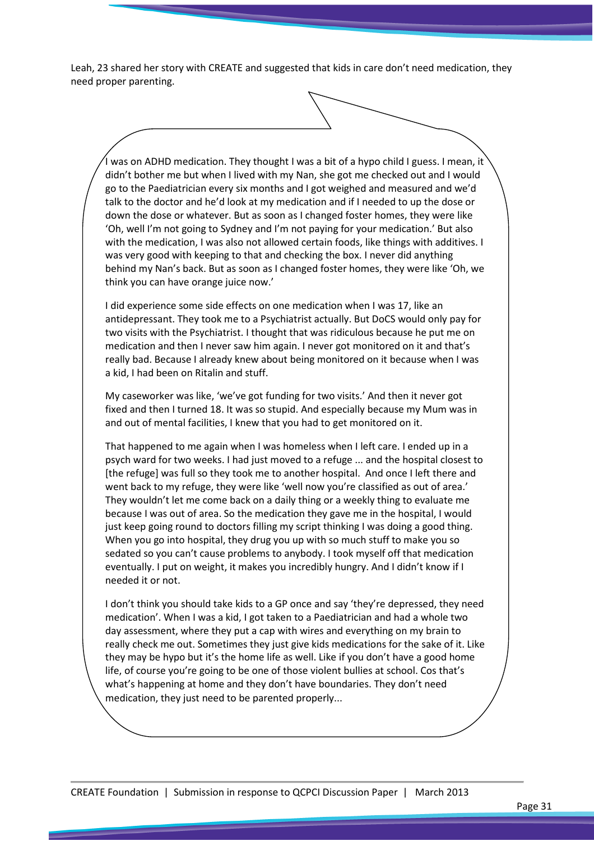Leah, 23 shared her story with CREATE and suggested that kids in care don't need medication, they need proper parenting.

I was on ADHD medication. They thought I was a bit of a hypo child I guess. I mean, it didn't bother me but when I lived with my Nan, she got me checked out and I would go to the Paediatrician every six months and I got weighed and measured and we'd talk to the doctor and he'd look at my medication and if I needed to up the dose or down the dose or whatever. But as soon as I changed foster homes, they were like 'Oh, well I'm not going to Sydney and I'm not paying for your medication.' But also with the medication, I was also not allowed certain foods, like things with additives. I was very good with keeping to that and checking the box. I never did anything behind my Nan's back. But as soon as I changed foster homes, they were like 'Oh, we think you can have orange juice now.'

I did experience some side effects on one medication when I was 17, like an antidepressant. They took me to a Psychiatrist actually. But DoCS would only pay for two visits with the Psychiatrist. I thought that was ridiculous because he put me on medication and then I never saw him again. I never got monitored on it and that's really bad. Because I already knew about being monitored on it because when I was a kid, I had been on Ritalin and stuff.

My caseworker was like, 'we've got funding for two visits.' And then it never got fixed and then I turned 18. It was so stupid. And especially because my Mum was in and out of mental facilities, I knew that you had to get monitored on it.

That happened to me again when I was homeless when I left care. I ended up in a psych ward for two weeks. I had just moved to a refuge ... and the hospital closest to [the refuge] was full so they took me to another hospital. And once I left there and went back to my refuge, they were like 'well now you're classified as out of area.' They wouldn't let me come back on a daily thing or a weekly thing to evaluate me because I was out of area. So the medication they gave me in the hospital, I would just keep going round to doctors filling my script thinking I was doing a good thing. When you go into hospital, they drug you up with so much stuff to make you so sedated so you can't cause problems to anybody. I took myself off that medication eventually. I put on weight, it makes you incredibly hungry. And I didn't know if I needed it or not.

I don't think you should take kids to a GP once and say 'they're depressed, they need medication'. When I was a kid, I got taken to a Paediatrician and had a whole two day assessment, where they put a cap with wires and everything on my brain to really check me out. Sometimes they just give kids medications for the sake of it. Like they may be hypo but it's the home life as well. Like if you don't have a good home life, of course you're going to be one of those violent bullies at school. Cos that's what's happening at home and they don't have boundaries. They don't need medication, they just need to be parented properly...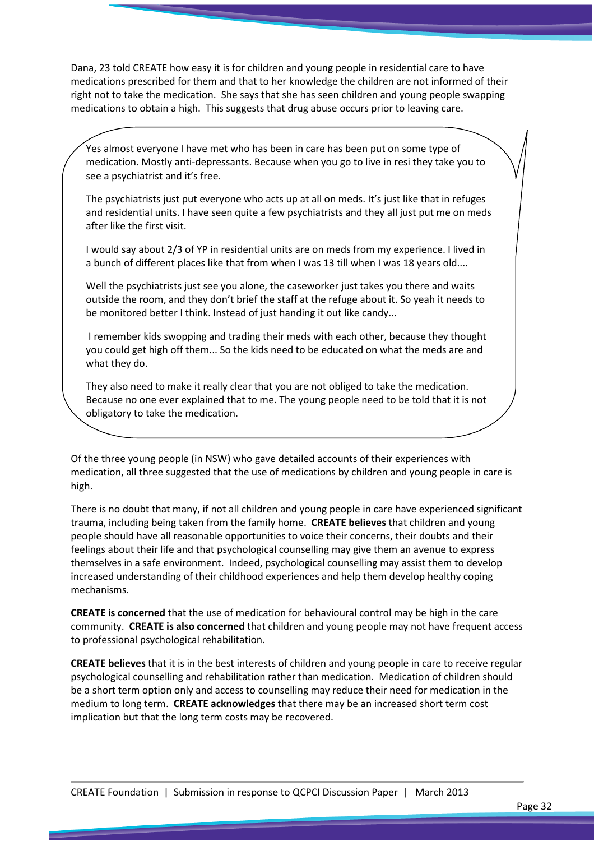Dana, 23 told CREATE how easy it is for children and young people in residential care to have medications prescribed for them and that to her knowledge the children are not informed of their right not to take the medication. She says that she has seen children and young people swapping medications to obtain a high. This suggests that drug abuse occurs prior to leaving care.

Yes almost everyone I have met who has been in care has been put on some type of medication. Mostly anti-depressants. Because when you go to live in resi they take you to see a psychiatrist and it's free.

The psychiatrists just put everyone who acts up at all on meds. It's just like that in refuges and residential units. I have seen quite a few psychiatrists and they all just put me on meds after like the first visit.

I would say about 2/3 of YP in residential units are on meds from my experience. I lived in a bunch of different places like that from when I was 13 till when I was 18 years old....

Well the psychiatrists just see you alone, the caseworker just takes you there and waits outside the room, and they don't brief the staff at the refuge about it. So yeah it needs to be monitored better I think. Instead of just handing it out like candy...

 I remember kids swopping and trading their meds with each other, because they thought you could get high off them... So the kids need to be educated on what the meds are and what they do.

They also need to make it really clear that you are not obliged to take the medication. Because no one ever explained that to me. The young people need to be told that it is not obligatory to take the medication.

Of the three young people (in NSW) who gave detailed accounts of their experiences with medication, all three suggested that the use of medications by children and young people in care is high.

There is no doubt that many, if not all children and young people in care have experienced significant trauma, including being taken from the family home. CREATE believes that children and young people should have all reasonable opportunities to voice their concerns, their doubts and their feelings about their life and that psychological counselling may give them an avenue to express themselves in a safe environment. Indeed, psychological counselling may assist them to develop increased understanding of their childhood experiences and help them develop healthy coping mechanisms.

CREATE is concerned that the use of medication for behavioural control may be high in the care community. **CREATE is also concerned** that children and young people may not have frequent access to professional psychological rehabilitation.

CREATE believes that it is in the best interests of children and young people in care to receive regular psychological counselling and rehabilitation rather than medication. Medication of children should be a short term option only and access to counselling may reduce their need for medication in the medium to long term. CREATE acknowledges that there may be an increased short term cost implication but that the long term costs may be recovered.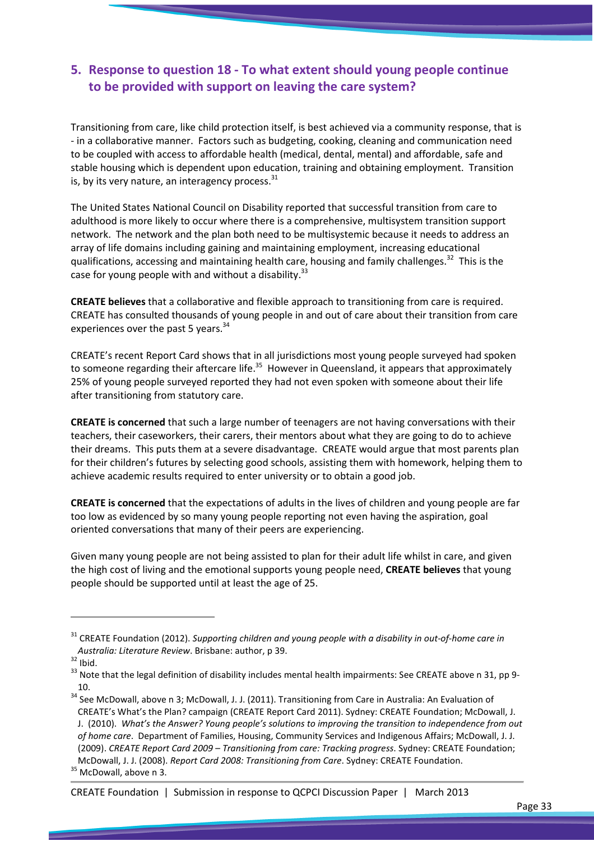## 5. Response to question 18 - To what extent should young people continue to be provided with support on leaving the care system?

Transitioning from care, like child protection itself, is best achieved via a community response, that is - in a collaborative manner. Factors such as budgeting, cooking, cleaning and communication need to be coupled with access to affordable health (medical, dental, mental) and affordable, safe and stable housing which is dependent upon education, training and obtaining employment. Transition is, by its very nature, an interagency process. $^{31}$ 

The United States National Council on Disability reported that successful transition from care to adulthood is more likely to occur where there is a comprehensive, multisystem transition support network. The network and the plan both need to be multisystemic because it needs to address an array of life domains including gaining and maintaining employment, increasing educational qualifications, accessing and maintaining health care, housing and family challenges.<sup>32</sup> This is the case for young people with and without a disability.<sup>33</sup>

CREATE believes that a collaborative and flexible approach to transitioning from care is required. CREATE has consulted thousands of young people in and out of care about their transition from care experiences over the past 5 years.<sup>34</sup>

CREATE's recent Report Card shows that in all jurisdictions most young people surveyed had spoken to someone regarding their aftercare life.<sup>35</sup> However in Queensland, it appears that approximately 25% of young people surveyed reported they had not even spoken with someone about their life after transitioning from statutory care.

CREATE is concerned that such a large number of teenagers are not having conversations with their teachers, their caseworkers, their carers, their mentors about what they are going to do to achieve their dreams. This puts them at a severe disadvantage. CREATE would argue that most parents plan for their children's futures by selecting good schools, assisting them with homework, helping them to achieve academic results required to enter university or to obtain a good job.

CREATE is concerned that the expectations of adults in the lives of children and young people are far too low as evidenced by so many young people reporting not even having the aspiration, goal oriented conversations that many of their peers are experiencing.

Given many young people are not being assisted to plan for their adult life whilst in care, and given the high cost of living and the emotional supports young people need, CREATE believes that young people should be supported until at least the age of 25.

 $\overline{\phantom{0}}$ 

#### CREATE Foundation | Submission in response to QCPCI Discussion Paper | March 2013

<sup>&</sup>lt;sup>31</sup> CREATE Foundation (2012). Supporting children and young people with a disability in out-of-home care in Australia: Literature Review. Brisbane: author, p 39.

 $32$  Ibid.

<sup>&</sup>lt;sup>33</sup> Note that the legal definition of disability includes mental health impairments: See CREATE above n 31, pp 9-10.

<sup>&</sup>lt;sup>34</sup> See McDowall, above n 3; McDowall, J. J. (2011). Transitioning from Care in Australia: An Evaluation of CREATE's What's the Plan? campaign (CREATE Report Card 2011). Sydney: CREATE Foundation; McDowall, J. J. (2010). What's the Answer? Young people's solutions to improving the transition to independence from out of home care. Department of Families, Housing, Community Services and Indigenous Affairs; McDowall, J. J. (2009). CREATE Report Card 2009 – Transitioning from care: Tracking progress. Sydney: CREATE Foundation; McDowall, J. J. (2008). Report Card 2008: Transitioning from Care. Sydney: CREATE Foundation.

<sup>&</sup>lt;sup>35</sup> McDowall, above n 3.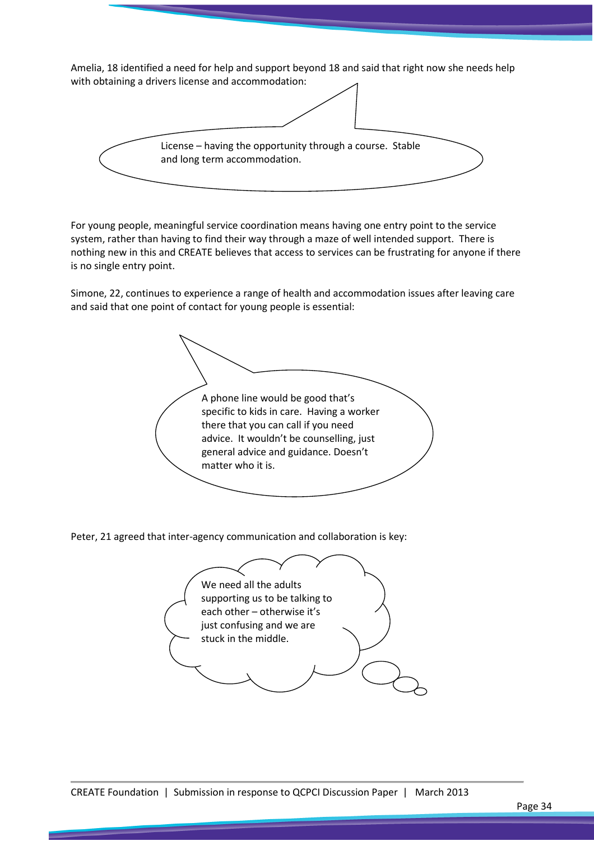Amelia, 18 identified a need for help and support beyond 18 and said that right now she needs help with obtaining a drivers license and accommodation: License – having the opportunity through a course. Stable and long term accommodation.

For young people, meaningful service coordination means having one entry point to the service system, rather than having to find their way through a maze of well intended support. There is nothing new in this and CREATE believes that access to services can be frustrating for anyone if there is no single entry point.

Simone, 22, continues to experience a range of health and accommodation issues after leaving care and said that one point of contact for young people is essential:

A phone line would be good that's specific to kids in care. Having a worker there that you can call if you need advice. It wouldn't be counselling, just general advice and guidance. Doesn't matter who it is.

Peter, 21 agreed that inter-agency communication and collaboration is key:

![](_page_33_Picture_5.jpeg)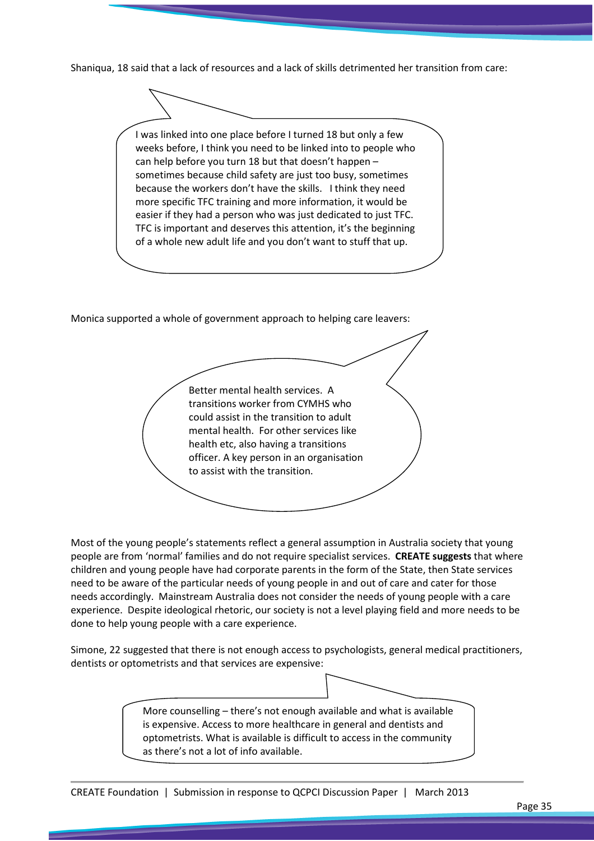Shaniqua, 18 said that a lack of resources and a lack of skills detrimented her transition from care:

![](_page_34_Figure_1.jpeg)

weeks before, I think you need to be linked into to people who can help before you turn 18 but that doesn't happen – sometimes because child safety are just too busy, sometimes because the workers don't have the skills. I think they need more specific TFC training and more information, it would be easier if they had a person who was just dedicated to just TFC. TFC is important and deserves this attention, it's the beginning of a whole new adult life and you don't want to stuff that up.

Monica supported a whole of government approach to helping care leavers:

Better mental health services. A transitions worker from CYMHS who could assist in the transition to adult mental health. For other services like health etc, also having a transitions officer. A key person in an organisation to assist with the transition.

Most of the young people's statements reflect a general assumption in Australia society that young people are from 'normal' families and do not require specialist services. CREATE suggests that where children and young people have had corporate parents in the form of the State, then State services need to be aware of the particular needs of young people in and out of care and cater for those needs accordingly. Mainstream Australia does not consider the needs of young people with a care experience. Despite ideological rhetoric, our society is not a level playing field and more needs to be done to help young people with a care experience.

Simone, 22 suggested that there is not enough access to psychologists, general medical practitioners, dentists or optometrists and that services are expensive:

> More counselling – there's not enough available and what is available is expensive. Access to more healthcare in general and dentists and optometrists. What is available is difficult to access in the community as there's not a lot of info available.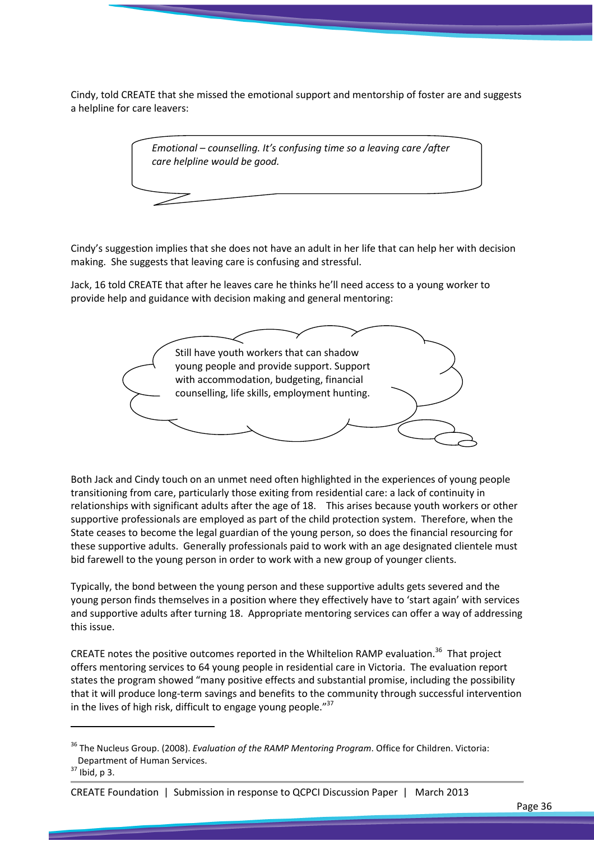Cindy, told CREATE that she missed the emotional support and mentorship of foster are and suggests a helpline for care leavers:

![](_page_35_Picture_1.jpeg)

Cindy's suggestion implies that she does not have an adult in her life that can help her with decision making. She suggests that leaving care is confusing and stressful.

Jack, 16 told CREATE that after he leaves care he thinks he'll need access to a young worker to provide help and guidance with decision making and general mentoring:

![](_page_35_Picture_4.jpeg)

Both Jack and Cindy touch on an unmet need often highlighted in the experiences of young people transitioning from care, particularly those exiting from residential care: a lack of continuity in relationships with significant adults after the age of 18. This arises because youth workers or other supportive professionals are employed as part of the child protection system. Therefore, when the State ceases to become the legal guardian of the young person, so does the financial resourcing for these supportive adults. Generally professionals paid to work with an age designated clientele must bid farewell to the young person in order to work with a new group of younger clients.

Typically, the bond between the young person and these supportive adults gets severed and the young person finds themselves in a position where they effectively have to 'start again' with services and supportive adults after turning 18. Appropriate mentoring services can offer a way of addressing this issue.

CREATE notes the positive outcomes reported in the Whiltelion RAMP evaluation.<sup>36</sup> That project offers mentoring services to 64 young people in residential care in Victoria. The evaluation report states the program showed "many positive effects and substantial promise, including the possibility that it will produce long-term savings and benefits to the community through successful intervention in the lives of high risk, difficult to engage young people." $37$ 

 $\overline{\phantom{0}}$ 

<sup>&</sup>lt;sup>36</sup> The Nucleus Group. (2008). Evaluation of the RAMP Mentoring Program. Office for Children. Victoria: Department of Human Services.

 $37$  Ibid, p 3.

CREATE Foundation | Submission in response to QCPCI Discussion Paper | March 2013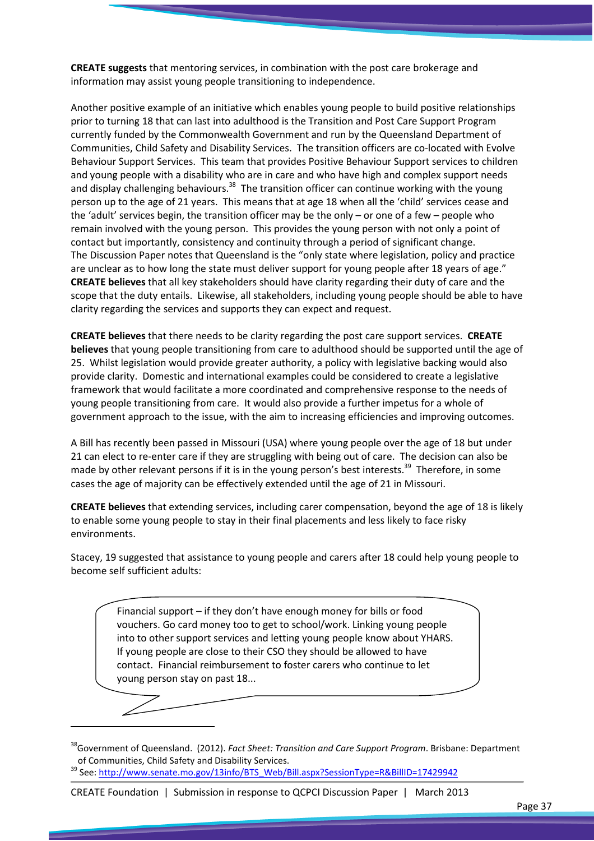CREATE suggests that mentoring services, in combination with the post care brokerage and information may assist young people transitioning to independence.

Another positive example of an initiative which enables young people to build positive relationships prior to turning 18 that can last into adulthood is the Transition and Post Care Support Program currently funded by the Commonwealth Government and run by the Queensland Department of Communities, Child Safety and Disability Services. The transition officers are co-located with Evolve Behaviour Support Services. This team that provides Positive Behaviour Support services to children and young people with a disability who are in care and who have high and complex support needs and display challenging behaviours.<sup>38</sup> The transition officer can continue working with the young person up to the age of 21 years. This means that at age 18 when all the 'child' services cease and the 'adult' services begin, the transition officer may be the only – or one of a few – people who remain involved with the young person. This provides the young person with not only a point of contact but importantly, consistency and continuity through a period of significant change. The Discussion Paper notes that Queensland is the "only state where legislation, policy and practice are unclear as to how long the state must deliver support for young people after 18 years of age." CREATE believes that all key stakeholders should have clarity regarding their duty of care and the scope that the duty entails. Likewise, all stakeholders, including young people should be able to have clarity regarding the services and supports they can expect and request.

CREATE believes that there needs to be clarity regarding the post care support services. CREATE believes that young people transitioning from care to adulthood should be supported until the age of 25. Whilst legislation would provide greater authority, a policy with legislative backing would also provide clarity. Domestic and international examples could be considered to create a legislative framework that would facilitate a more coordinated and comprehensive response to the needs of young people transitioning from care. It would also provide a further impetus for a whole of government approach to the issue, with the aim to increasing efficiencies and improving outcomes.

A Bill has recently been passed in Missouri (USA) where young people over the age of 18 but under 21 can elect to re-enter care if they are struggling with being out of care. The decision can also be made by other relevant persons if it is in the young person's best interests.<sup>39</sup> Therefore, in some cases the age of majority can be effectively extended until the age of 21 in Missouri.

CREATE believes that extending services, including carer compensation, beyond the age of 18 is likely to enable some young people to stay in their final placements and less likely to face risky environments.

Stacey, 19 suggested that assistance to young people and carers after 18 could help young people to become self sufficient adults:

Financial support – if they don't have enough money for bills or food vouchers. Go card money too to get to school/work. Linking young people into to other support services and letting young people know about YHARS. If young people are close to their CSO they should be allowed to have contact. Financial reimbursement to foster carers who continue to let young person stay on past 18...

 $\overline{\phantom{0}}$ 

#### CREATE Foundation | Submission in response to QCPCI Discussion Paper | March 2013

<sup>&</sup>lt;sup>38</sup>Government of Queensland. (2012). Fact Sheet: Transition and Care Support Program. Brisbane: Department of Communities, Child Safety and Disability Services.

<sup>39</sup> See: http://www.senate.mo.gov/13info/BTS\_Web/Bill.aspx?SessionType=R&BillID=17429942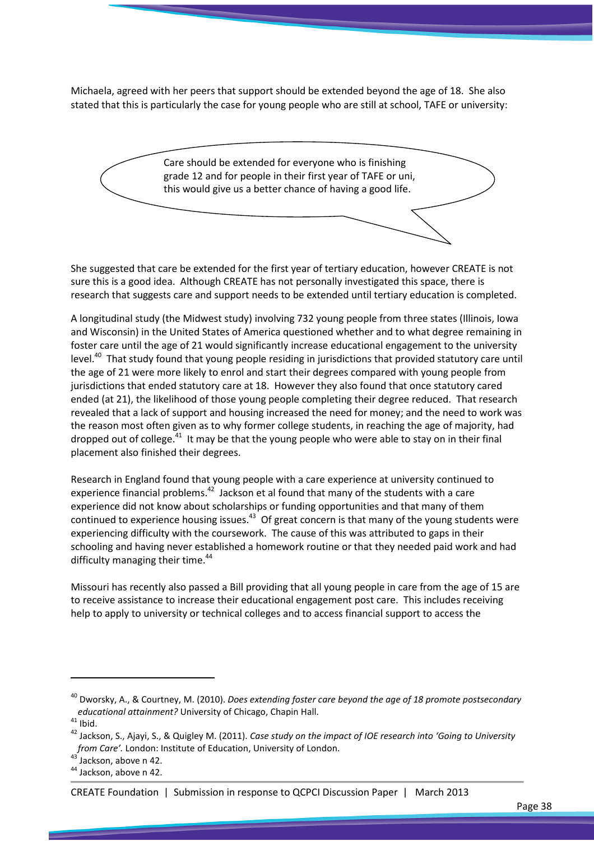Michaela, agreed with her peers that support should be extended beyond the age of 18. She also stated that this is particularly the case for young people who are still at school, TAFE or university:

![](_page_37_Figure_1.jpeg)

She suggested that care be extended for the first year of tertiary education, however CREATE is not sure this is a good idea. Although CREATE has not personally investigated this space, there is research that suggests care and support needs to be extended until tertiary education is completed.

A longitudinal study (the Midwest study) involving 732 young people from three states (Illinois, Iowa and Wisconsin) in the United States of America questioned whether and to what degree remaining in foster care until the age of 21 would significantly increase educational engagement to the university level.<sup>40</sup> That study found that young people residing in jurisdictions that provided statutory care until the age of 21 were more likely to enrol and start their degrees compared with young people from jurisdictions that ended statutory care at 18. However they also found that once statutory cared ended (at 21), the likelihood of those young people completing their degree reduced. That research revealed that a lack of support and housing increased the need for money; and the need to work was the reason most often given as to why former college students, in reaching the age of majority, had dropped out of college. $41$  It may be that the young people who were able to stay on in their final placement also finished their degrees.

Research in England found that young people with a care experience at university continued to experience financial problems.<sup>42</sup> Jackson et al found that many of the students with a care experience did not know about scholarships or funding opportunities and that many of them continued to experience housing issues. $43$  Of great concern is that many of the young students were experiencing difficulty with the coursework. The cause of this was attributed to gaps in their schooling and having never established a homework routine or that they needed paid work and had difficulty managing their time.<sup>44</sup>

Missouri has recently also passed a Bill providing that all young people in care from the age of 15 are to receive assistance to increase their educational engagement post care. This includes receiving help to apply to university or technical colleges and to access financial support to access the

 $\overline{a}$ 

CREATE Foundation | Submission in response to QCPCI Discussion Paper | March 2013

 $^{40}$  Dworsky, A., & Courtney, M. (2010). Does extending foster care beyond the age of 18 promote postsecondary educational attainment? University of Chicago, Chapin Hall.

 $41$  Ibid.

 $42$  Jackson, S., Ajayi, S., & Quigley M. (2011). Case study on the impact of IOE research into 'Going to University from Care'. London: Institute of Education, University of London.

 $43$  Jackson, above n 42.

<sup>&</sup>lt;sup>44</sup> Jackson, above n 42.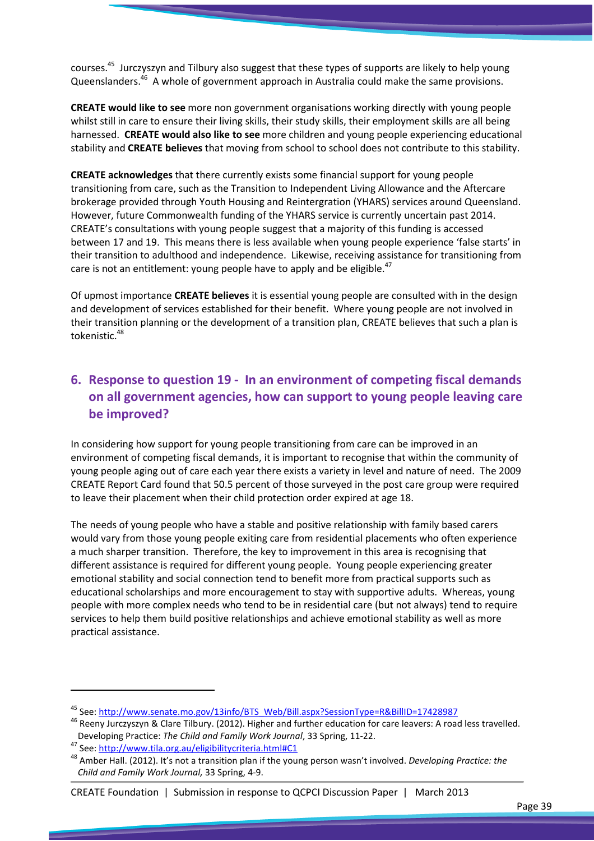courses.<sup>45</sup> Jurczyszyn and Tilbury also suggest that these types of supports are likely to help young Queenslanders.<sup>46</sup> A whole of government approach in Australia could make the same provisions.

CREATE would like to see more non government organisations working directly with young people whilst still in care to ensure their living skills, their study skills, their employment skills are all being harnessed. CREATE would also like to see more children and young people experiencing educational stability and CREATE believes that moving from school to school does not contribute to this stability.

CREATE acknowledges that there currently exists some financial support for young people transitioning from care, such as the Transition to Independent Living Allowance and the Aftercare brokerage provided through Youth Housing and Reintergration (YHARS) services around Queensland. However, future Commonwealth funding of the YHARS service is currently uncertain past 2014. CREATE's consultations with young people suggest that a majority of this funding is accessed between 17 and 19. This means there is less available when young people experience 'false starts' in their transition to adulthood and independence. Likewise, receiving assistance for transitioning from care is not an entitlement: young people have to apply and be eligible.<sup>47</sup>

Of upmost importance CREATE believes it is essential young people are consulted with in the design and development of services established for their benefit. Where young people are not involved in their transition planning or the development of a transition plan, CREATE believes that such a plan is tokenistic.<sup>48</sup>

## 6. Response to question 19 - In an environment of competing fiscal demands on all government agencies, how can support to young people leaving care be improved?

In considering how support for young people transitioning from care can be improved in an environment of competing fiscal demands, it is important to recognise that within the community of young people aging out of care each year there exists a variety in level and nature of need. The 2009 CREATE Report Card found that 50.5 percent of those surveyed in the post care group were required to leave their placement when their child protection order expired at age 18.

The needs of young people who have a stable and positive relationship with family based carers would vary from those young people exiting care from residential placements who often experience a much sharper transition. Therefore, the key to improvement in this area is recognising that different assistance is required for different young people. Young people experiencing greater emotional stability and social connection tend to benefit more from practical supports such as educational scholarships and more encouragement to stay with supportive adults. Whereas, young people with more complex needs who tend to be in residential care (but not always) tend to require services to help them build positive relationships and achieve emotional stability as well as more practical assistance.

l

#### CREATE Foundation | Submission in response to QCPCI Discussion Paper | March 2013

<sup>45</sup> See: http://www.senate.mo.gov/13info/BTS\_Web/Bill.aspx?SessionType=R&BillID=17428987

<sup>&</sup>lt;sup>46</sup> Reeny Jurczyszyn & Clare Tilbury. (2012). Higher and further education for care leavers: A road less travelled. Developing Practice: The Child and Family Work Journal, 33 Spring, 11-22.

<sup>47</sup> See: http://www.tila.org.au/eligibilitycriteria.html#C1

<sup>&</sup>lt;sup>48</sup> Amber Hall. (2012). It's not a transition plan if the young person wasn't involved. Developing Practice: the Child and Family Work Journal, 33 Spring, 4-9.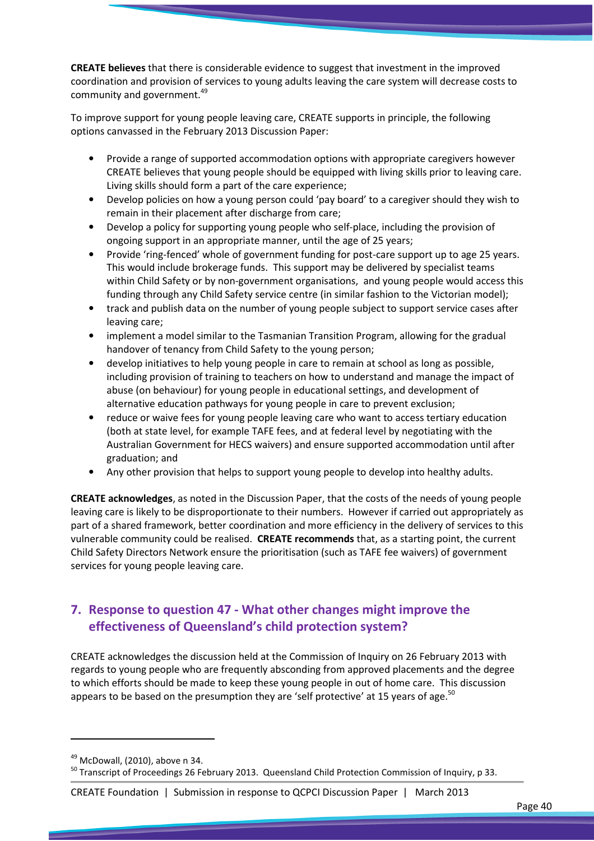CREATE believes that there is considerable evidence to suggest that investment in the improved coordination and provision of services to young adults leaving the care system will decrease costs to community and government.<sup>49</sup>

To improve support for young people leaving care, CREATE supports in principle, the following options canvassed in the February 2013 Discussion Paper:

- Provide a range of supported accommodation options with appropriate caregivers however CREATE believes that young people should be equipped with living skills prior to leaving care. Living skills should form a part of the care experience;
- Develop policies on how a young person could 'pay board' to a caregiver should they wish to remain in their placement after discharge from care;
- Develop a policy for supporting young people who self-place, including the provision of ongoing support in an appropriate manner, until the age of 25 years;
- Provide 'ring-fenced' whole of government funding for post-care support up to age 25 years. This would include brokerage funds. This support may be delivered by specialist teams within Child Safety or by non-government organisations, and young people would access this funding through any Child Safety service centre (in similar fashion to the Victorian model);
- track and publish data on the number of young people subject to support service cases after leaving care;
- implement a model similar to the Tasmanian Transition Program, allowing for the gradual handover of tenancy from Child Safety to the young person;
- develop initiatives to help young people in care to remain at school as long as possible, including provision of training to teachers on how to understand and manage the impact of abuse (on behaviour) for young people in educational settings, and development of alternative education pathways for young people in care to prevent exclusion;
- reduce or waive fees for young people leaving care who want to access tertiary education (both at state level, for example TAFE fees, and at federal level by negotiating with the Australian Government for HECS waivers) and ensure supported accommodation until after graduation; and
- Any other provision that helps to support young people to develop into healthy adults.

CREATE acknowledges, as noted in the Discussion Paper, that the costs of the needs of young people leaving care is likely to be disproportionate to their numbers. However if carried out appropriately as part of a shared framework, better coordination and more efficiency in the delivery of services to this vulnerable community could be realised. CREATE recommends that, as a starting point, the current Child Safety Directors Network ensure the prioritisation (such as TAFE fee waivers) of government services for young people leaving care.

## 7. Response to question 47 - What other changes might improve the effectiveness of Queensland's child protection system?

CREATE acknowledges the discussion held at the Commission of Inquiry on 26 February 2013 with regards to young people who are frequently absconding from approved placements and the degree to which efforts should be made to keep these young people in out of home care. This discussion appears to be based on the presumption they are 'self protective' at 15 years of age.<sup>50</sup>

 $\overline{a}$ 

 $49$  McDowall, (2010), above n 34.

<sup>&</sup>lt;sup>50</sup> Transcript of Proceedings 26 February 2013. Queensland Child Protection Commission of Inquiry, p 33.

CREATE Foundation | Submission in response to QCPCI Discussion Paper | March 2013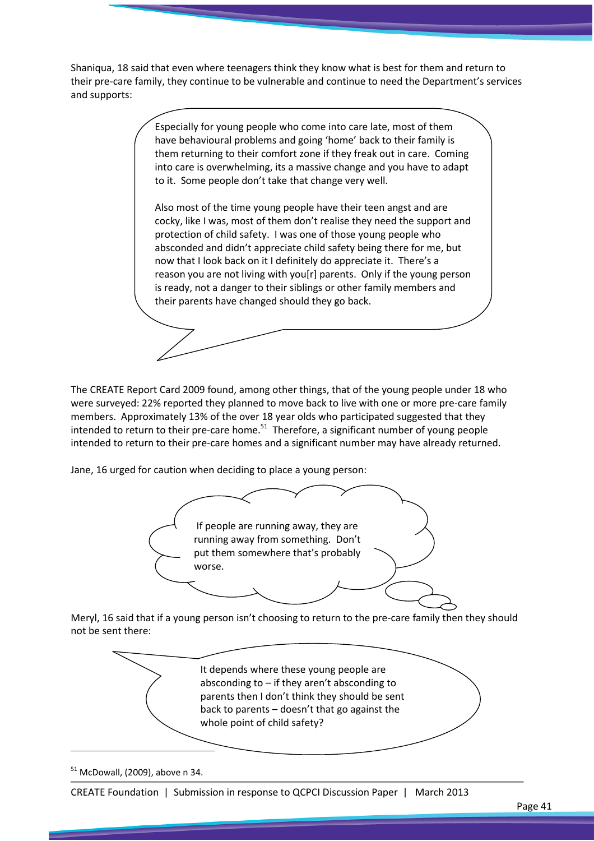Shaniqua, 18 said that even where teenagers think they know what is best for them and return to their pre-care family, they continue to be vulnerable and continue to need the Department's services and supports:

> Especially for young people who come into care late, most of them have behavioural problems and going 'home' back to their family is them returning to their comfort zone if they freak out in care. Coming into care is overwhelming, its a massive change and you have to adapt to it. Some people don't take that change very well.

Also most of the time young people have their teen angst and are cocky, like I was, most of them don't realise they need the support and protection of child safety. I was one of those young people who absconded and didn't appreciate child safety being there for me, but now that I look back on it I definitely do appreciate it. There's a reason you are not living with you[r] parents. Only if the young person is ready, not a danger to their siblings or other family members and their parents have changed should they go back.

The CREATE Report Card 2009 found, among other things, that of the young people under 18 who were surveyed: 22% reported they planned to move back to live with one or more pre-care family members. Approximately 13% of the over 18 year olds who participated suggested that they intended to return to their pre-care home. $51$  Therefore, a significant number of young people intended to return to their pre-care homes and a significant number may have already returned.

Jane, 16 urged for caution when deciding to place a young person:

![](_page_40_Picture_5.jpeg)

Meryl, 16 said that if a young person isn't choosing to return to the pre-care family then they should not be sent there:

![](_page_40_Picture_7.jpeg)

 $51$  McDowall, (2009), above n 34.

 $\overline{\phantom{0}}$ 

CREATE Foundation | Submission in response to QCPCI Discussion Paper | March 2013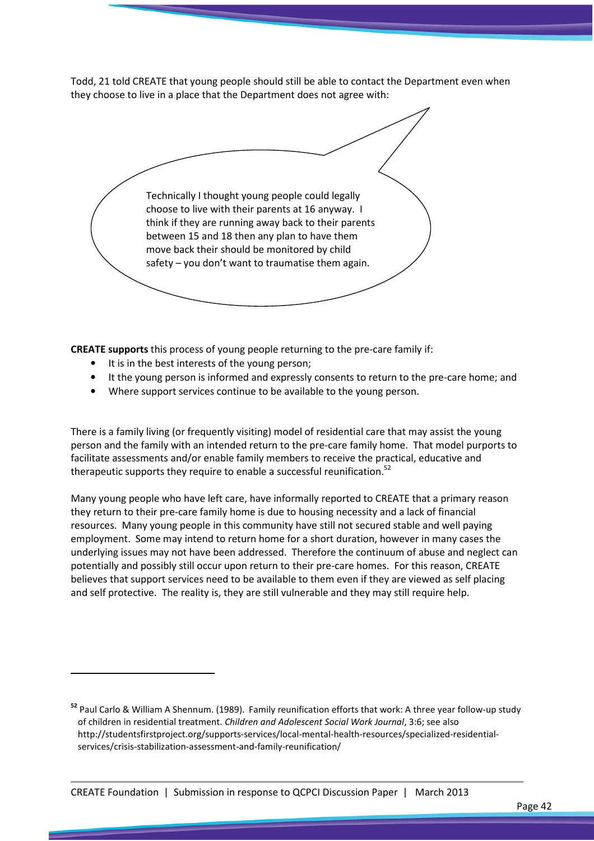Todd, 21 told CREATE that young people should still be able to contact the Department even when they choose to live in a place that the Department does not agree with:

Technically I thought young people could legally choose to live with their parents at 16 anyway. I think if they are running away back to their parents between 15 and 18 then any plan to have them move back their should be monitored by child safety – you don't want to traumatise them again.

CREATE supports this process of young people returning to the pre-care family if:

It is in the best interests of the young person;

 $\overline{a}$ 

- It the young person is informed and expressly consents to return to the pre-care home; and
- Where support services continue to be available to the young person.

There is a family living (or frequently visiting) model of residential care that may assist the young person and the family with an intended return to the pre-care family home. That model purports to facilitate assessments and/or enable family members to receive the practical, educative and therapeutic supports they require to enable a successful reunification.<sup>52</sup>

Many young people who have left care, have informally reported to CREATE that a primary reason they return to their pre-care family home is due to housing necessity and a lack of financial resources. Many young people in this community have still not secured stable and well paying employment. Some may intend to return home for a short duration, however in many cases the underlying issues may not have been addressed. Therefore the continuum of abuse and neglect can potentially and possibly still occur upon return to their pre-care homes. For this reason, CREATE believes that support services need to be available to them even if they are viewed as self placing and self protective. The reality is, they are still vulnerable and they may still require help.

<sup>52</sup> Paul Carlo & William A Shennum. (1989). Family reunification efforts that work: A three year follow-up study of children in residential treatment. Children and Adolescent Social Work Journal, 3:6; see also http://studentsfirstproject.org/supports-services/local-mental-health-resources/specialized-residentialservices/crisis-stabilization-assessment-and-family-reunification/